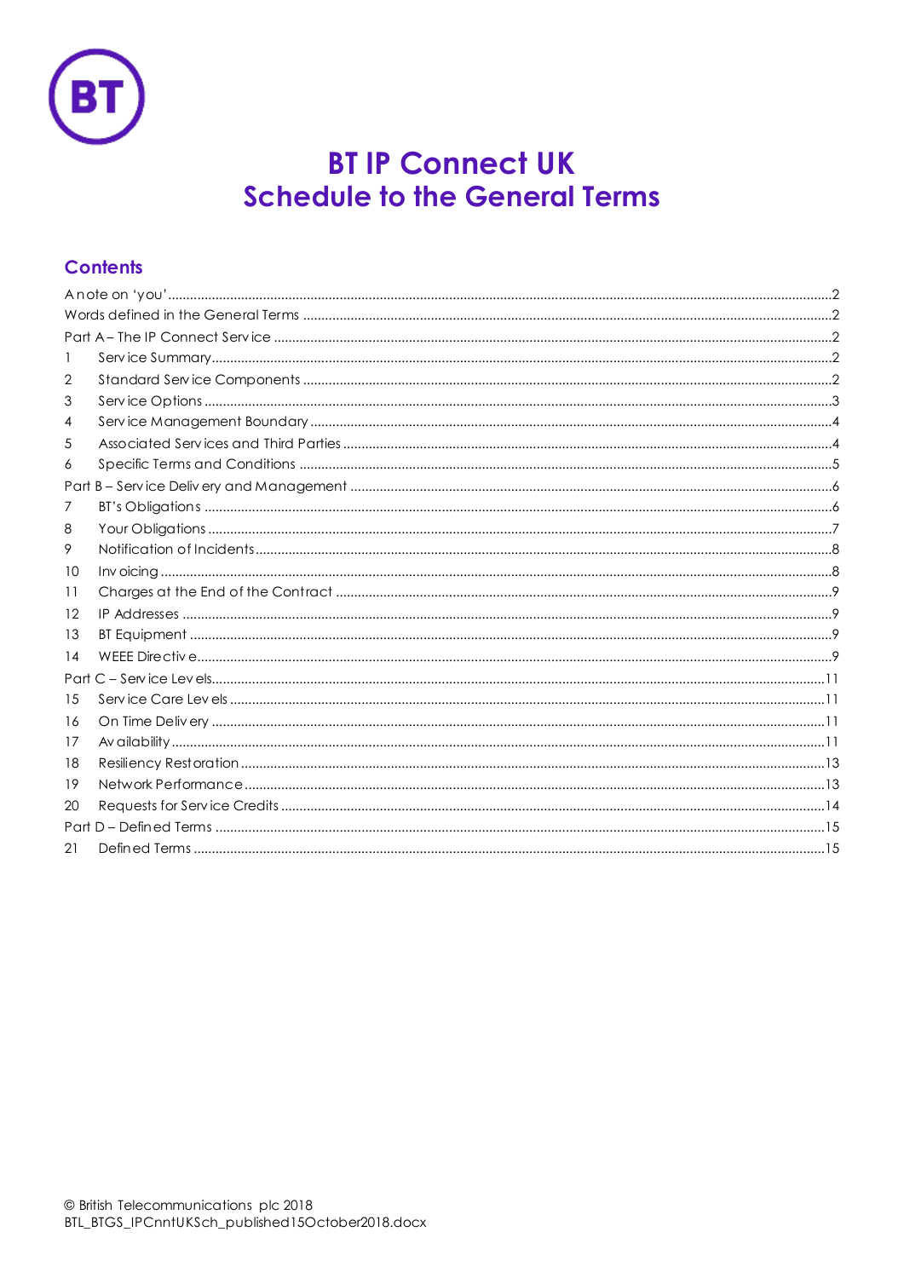

# **BT IP Connect UK Schedule to the General Terms**

# **Contents**

| 1  |  |
|----|--|
| 2  |  |
| 3  |  |
| 4  |  |
| 5  |  |
| 6  |  |
|    |  |
| 7  |  |
| 8  |  |
| 9. |  |
| 10 |  |
| 11 |  |
| 12 |  |
| 13 |  |
| 14 |  |
|    |  |
| 15 |  |
| 16 |  |
| 17 |  |
| 18 |  |
| 19 |  |
| 20 |  |
|    |  |
| 21 |  |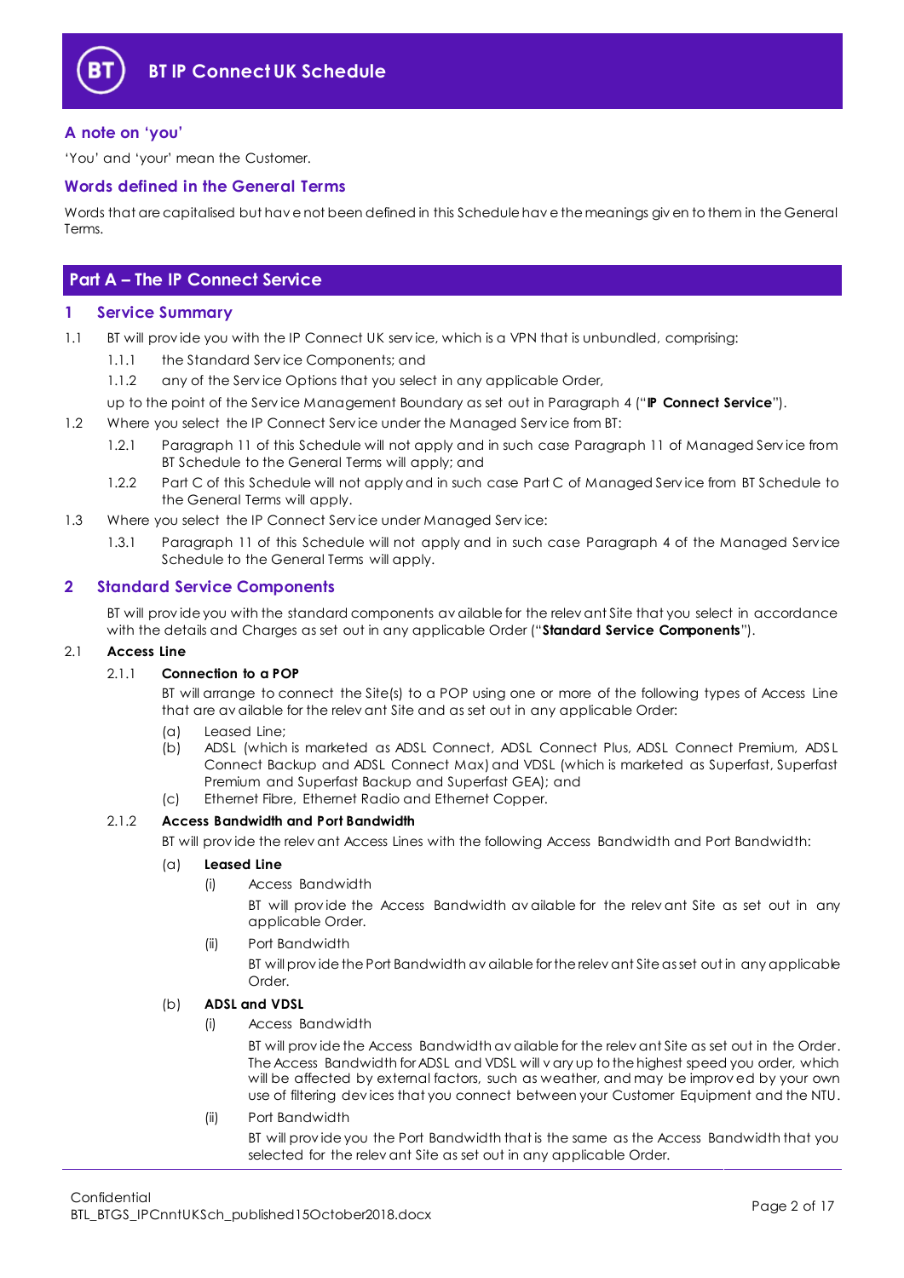

### <span id="page-1-0"></span>**A note on 'you'**

'You' and 'your' mean the Customer.

#### <span id="page-1-1"></span>**Words defined in the General Terms**

Words that are capitalised but hav e not been defined in this Schedule hav e the meanings giv en to them in the General Terms.

# <span id="page-1-2"></span>**Part A – The IP Connect Service**

#### <span id="page-1-3"></span>**1 Service Summary**

- 1.1 BT will provide you with the IP Connect UK service, which is a VPN that is unbundled, comprising:
	- 1.1.1 the Standard Serv ice Components; and
	- 1.1.2 any of the Service Options that you select in any applicable Order,
	- up to the point of the Serv ice Management Boundary as set out in Paragraph [4](#page-3-0) ("**IP Connect Service**").
- 1.2 Where you select the IP Connect Service under the Managed Service from BT:
	- 1.2.1 Paragraph [11](#page-8-0) of this Schedule will not apply and in such case Paragraph 11 of Managed Serv ice from BT Schedule to the General Terms will apply; and
	- 1.2.2 Part C of this Schedule will not apply and in such case Part C of Managed Service from BT Schedule to the General Terms will apply.
- 1.3 Where you select the IP Connect Service under Managed Service:
	- 1.3.1 Paragraph 11 of this Schedule will not apply and in such case Paragraph 4 of the Managed Serv ice Schedule to the General Terms will apply.

#### <span id="page-1-4"></span>**2 Standard Service Components**

BT will prov ide you with the standard components av ailable for the relev ant Site that you select in accordance with the details and Charges as set out in any applicable Order ("**Standard Service Components**").

#### 2.1 **Access Line**

#### 2.1.1 **Connection to a POP**

BT will arrange to connect the Site(s) to a POP using one or more of the following types of Access Line that are av ailable for the relev ant Site and as set out in any applicable Order:

- (a) Leased Line;
- (b) ADSL (which is marketed as ADSL Connect, ADSL Connect Plus, ADSL Connect Premium, ADSL Connect Backup and ADSL Connect Max) and VDSL (which is marketed as Superfast, Superfast Premium and Superfast Backup and Superfast GEA); and (c) Ethernet Fibre, Ethernet Radio and Ethernet Copper.
- 2.1.2 **Access Bandwidth and Port Bandwidth**

BT will prov ide the relev ant Access Lines with the following Access Bandwidth and Port Bandwidth:

#### (a) **Leased Line**

(i) Access Bandwidth

BT will prov ide the Access Bandwidth av ailable for the relev ant Site as set out in any applicable Order.

(ii) Port Bandwidth

BT will prov ide the Port Bandwidth av ailable for the relev ant Site as set out in any applicable Order.

#### (b) **ADSL and VDSL**

(i) Access Bandwidth

BT will prov ide the Access Bandwidth av ailable for the relev ant Site as set out in the Order. The Access Bandwidth for ADSL and VDSL will v ary up to the highest speed you order, which will be affected by external factors, such as weather, and may be improv ed by your own use of filtering dev ices that you connect between your Customer Equipment and the NTU.

(ii) Port Bandwidth BT will prov ide you the Port Bandwidth that is the same as the Access Bandwidth that you selected for the relev ant Site as set out in any applicable Order.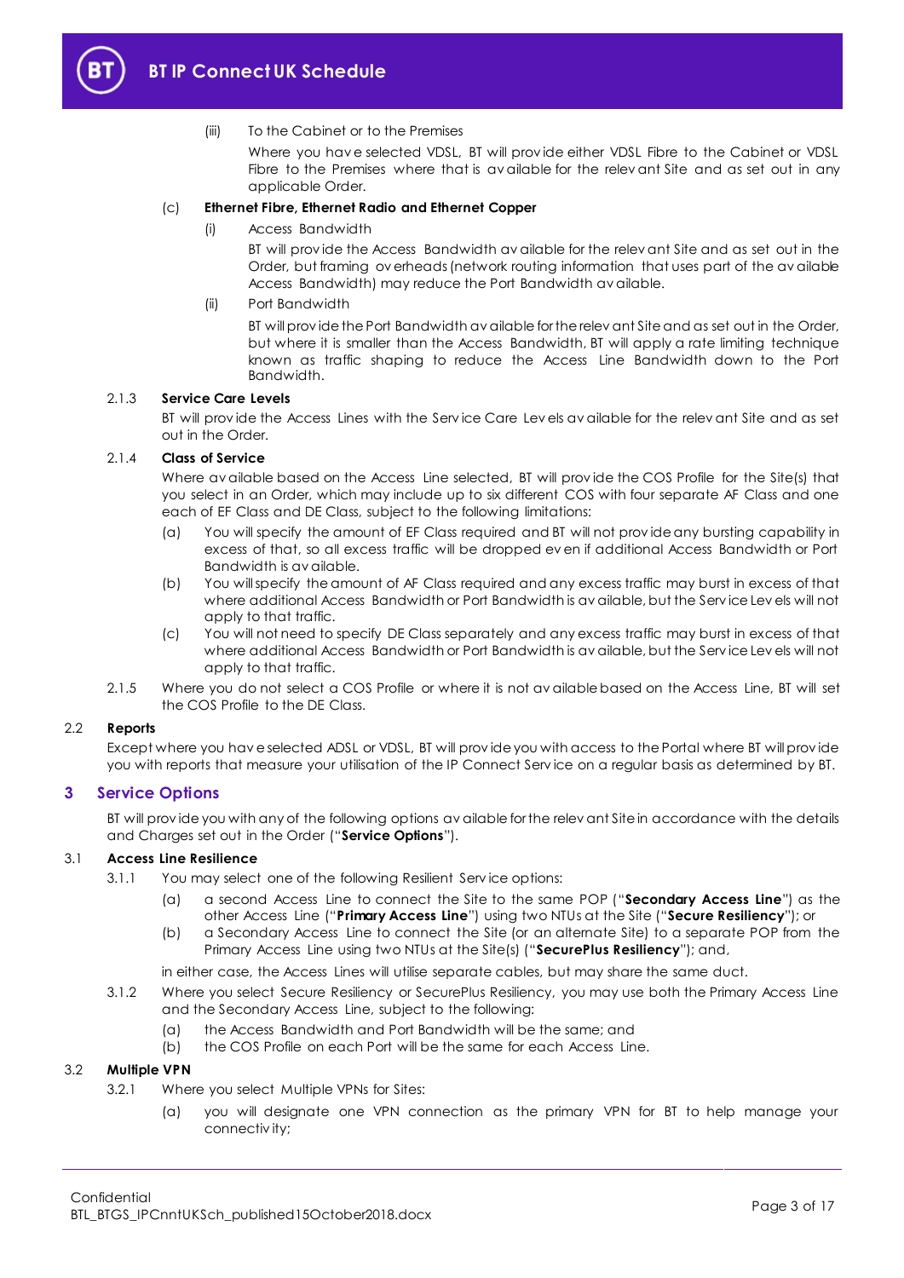

#### (iii) To the Cabinet or to the Premises

Where you hav e selected VDSL, BT will prov ide either VDSL Fibre to the Cabinet or VDSL Fibre to the Premises where that is av ailable for the relev ant Site and as set out in any applicable Order.

#### (c) **Ethernet Fibre, Ethernet Radio and Ethernet Copper**

(i) Access Bandwidth

BT will prov ide the Access Bandwidth av ailable for the relev ant Site and as set out in the Order, but framing ov erheads (network routing information that uses part of the av ailable Access Bandwidth) may reduce the Port Bandwidth av ailable.

#### (ii) Port Bandwidth

BT will prov ide the Port Bandwidth av ailable for the relev ant Site and as set out in the Order, but where it is smaller than the Access Bandwidth, BT will apply a rate limiting technique known as traffic shaping to reduce the Access Line Bandwidth down to the Port Bandwidth.

#### 2.1.3 **Service Care Levels**

BT will prov ide the Access Lines with the Serv ice Care Lev els av ailable for the relev ant Site and as set out in the Order.

#### 2.1.4 **Class of Service**

Where av ailable based on the Access Line selected, BT will prov ide the COS Profile for the Site(s) that you select in an Order, which may include up to six different COS with four separate AF Class and one each of EF Class and DE Class, subject to the following limitations:

- (a) You will specify the amount of EF Class required and BT will not prov ide any bursting capability in excess of that, so all excess traffic will be dropped ev en if additional Access Bandwidth or Port Bandwidth is av ailable.
- (b) You will specify the amount of AF Class required and any excess traffic may burst in excess of that where additional Access Bandwidth or Port Bandwidth is av ailable, but the Serv ice Lev els will not apply to that traffic.
- (c) You will not need to specify DE Class separately and any excess traffic may burst in excess of that where additional Access Bandwidth or Port Bandwidth is av ailable, but the Serv ice Lev els will not apply to that traffic.
- 2.1.5 Where you do not select a COS Profile or where it is not av ailable based on the Access Line, BT will set the COS Profile to the DE Class.

#### <span id="page-2-1"></span>2.2 **Reports**

Except where you hav e selected ADSL or VDSL, BT will prov ide you with access to the Portal where BT will prov ide you with reports that measure your utilisation of the IP Connect Serv ice on a regular basis as determined by BT.

#### <span id="page-2-0"></span>**3 Service Options**

BT will provide you with any of the following options av ailable for the relev ant Site in accordance with the details and Charges set out in the Order ("**Service Options**").

#### <span id="page-2-2"></span>3.1 **Access Line Resilience**

- 3.1.1 You may select one of the following Resilient Serv ice options:
	- (a) a second Access Line to connect the Site to the same POP ("**Secondary Access Line**") as the other Access Line ("**Primary Access Line**") using two NTUs at the Site ("**Secure Resiliency**"); or
	- (b) a Secondary Access Line to connect the Site (or an alternate Site) to a separate POP from the Primary Access Line using two NTUs at the Site(s) ("**SecurePlus Resiliency**"); and,

in either case, the Access Lines will utilise separate cables, but may share the same duct.

- 3.1.2 Where you select Secure Resiliency or SecurePlus Resiliency, you may use both the Primary Access Line and the Secondary Access Line, subject to the following:
	- (a) the Access Bandwidth and Port Bandwidth will be the same; and
	- (b) the COS Profile on each Port will be the same for each Access Line.

#### 3.2 **Multiple VPN**

- 3.2.1 Where you select Multiple VPNs for Sites:
	- (a) you will designate one VPN connection as the primary VPN for BT to help manage your connectiv ity;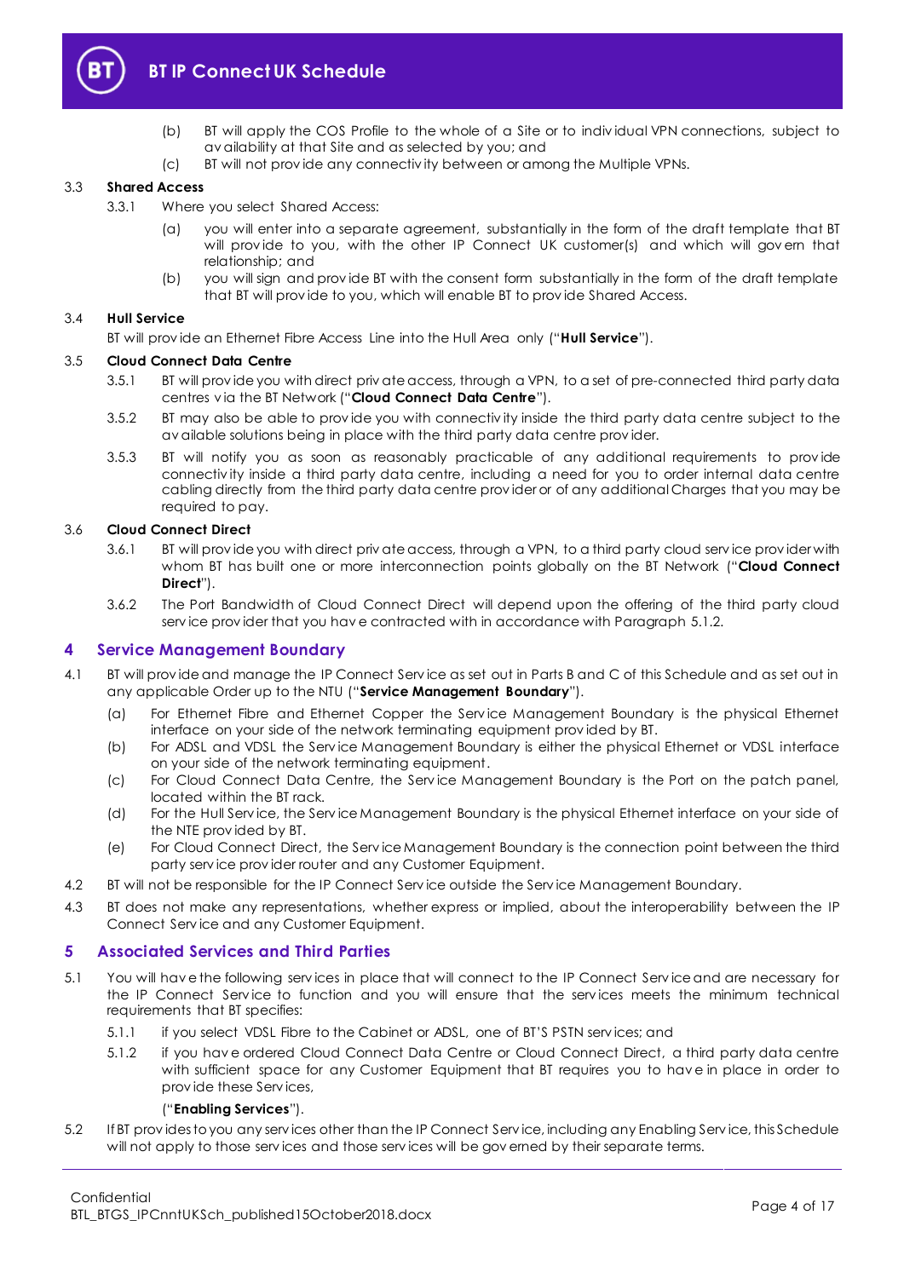

- (b) BT will apply the COS Profile to the whole of a Site or to indiv idual VPN connections, subject to av ailability at that Site and as selected by you; and
- (c) BT will not prov ide any connectiv ity between or among the Multiple VPNs.

#### 3.3 **Shared Access**

- 3.3.1 Where you select Shared Access:
	- (a) you will enter into a separate agreement, substantially in the form of the draft template that BT will provide to you, with the other IP Connect UK customer(s) and which will govern that relationship; and
	- (b) you will sign and prov ide BT with the consent form substantially in the form of the draft template that BT will prov ide to you, which will enable BT to prov ide Shared Access.

#### 3.4 **Hull Service**

BT will prov ide an Ethernet Fibre Access Line into the Hull Area only ("**Hull Service**").

#### 3.5 **Cloud Connect Data Centre**

- 3.5.1 BT will prov ide you with direct priv ate access, through a VPN, to a set of pre-connected third party data centres v ia the BT Network ("**Cloud Connect Data Centre**").
- 3.5.2 BT may also be able to prov ide you with connectiv ity inside the third party data centre subject to the av ailable solutions being in place with the third party data centre prov ider.
- 3.5.3 BT will notify you as soon as reasonably practicable of any additional requirements to prov ide connectiv ity inside a third party data centre, including a need for you to order internal data centre cabling directly from the third party data centre prov ider or of any additional Charges that you may be required to pay.

#### 3.6 **Cloud Connect Direct**

- 3.6.1 BT will prov ide you with direct priv ate access, through a VPN, to a third party cloud serv ice prov ider with whom BT has built one or more interconnection points globally on the BT Network ("**Cloud Connect Direct**").
- 3.6.2 The Port Bandwidth of Cloud Connect Direct will depend upon the offering of the third party cloud serv ice prov ider that you hav e contracted with in accordance with Paragrap[h 5.1.2.](#page-3-2)

#### <span id="page-3-0"></span>**4 Service Management Boundary**

- <span id="page-3-4"></span>4.1 BT will prov ide and manage the IP Connect Serv ice as set out in Parts B and C of this Schedule and as set out in any applicable Order up to the NTU ("**Service Management Boundary**").
	- (a) For Ethernet Fibre and Ethernet Copper the Serv ice Management Boundary is the physical Ethernet interface on your side of the network terminating equipment prov ided by BT.
	- (b) For ADSL and VDSL the Serv ice Management Boundary is either the physical Ethernet or VDSL interface on your side of the network terminating equipment.
	- (c) For Cloud Connect Data Centre, the Serv ice Management Boundary is the Port on the patch panel, located within the BT rack.
	- (d) For the Hull Serv ice, the Serv ice Management Boundary is the physical Ethernet interface on your side of the NTE prov ided by BT.
	- (e) For Cloud Connect Direct, the Serv ice Management Boundary is the connection point between the third party serv ice prov ider router and any Customer Equipment.
- 4.2 BT will not be responsible for the IP Connect Serv ice outside the Serv ice Management Boundary.
- 4.3 BT does not make any representations, whether express or implied, about the interoperability between the IP Connect Serv ice and any Customer Equipment.

#### <span id="page-3-1"></span>**5 Associated Services and Third Parties**

- <span id="page-3-3"></span>5.1 You will hav e the following serv ices in place that will connect to the IP Connect Serv ice and are necessary for the IP Connect Service to function and you will ensure that the services meets the minimum technical requirements that BT specifies:
	- 5.1.1 if you select VDSL Fibre to the Cabinet or ADSL, one of BT'S PSTN serv ices; and
	- 5.1.2 if you hav e ordered Cloud Connect Data Centre or Cloud Connect Direct, a third party data centre with sufficient space for any Customer Equipment that BT requires you to hav e in place in order to prov ide these Serv ices,

#### ("**Enabling Services**").

<span id="page-3-2"></span>5.2 If BT prov ides to you any serv ices other than the IP Connect Serv ice, including any Enabling Serv ice, this Schedule will not apply to those services and those services will be governed by their separate terms.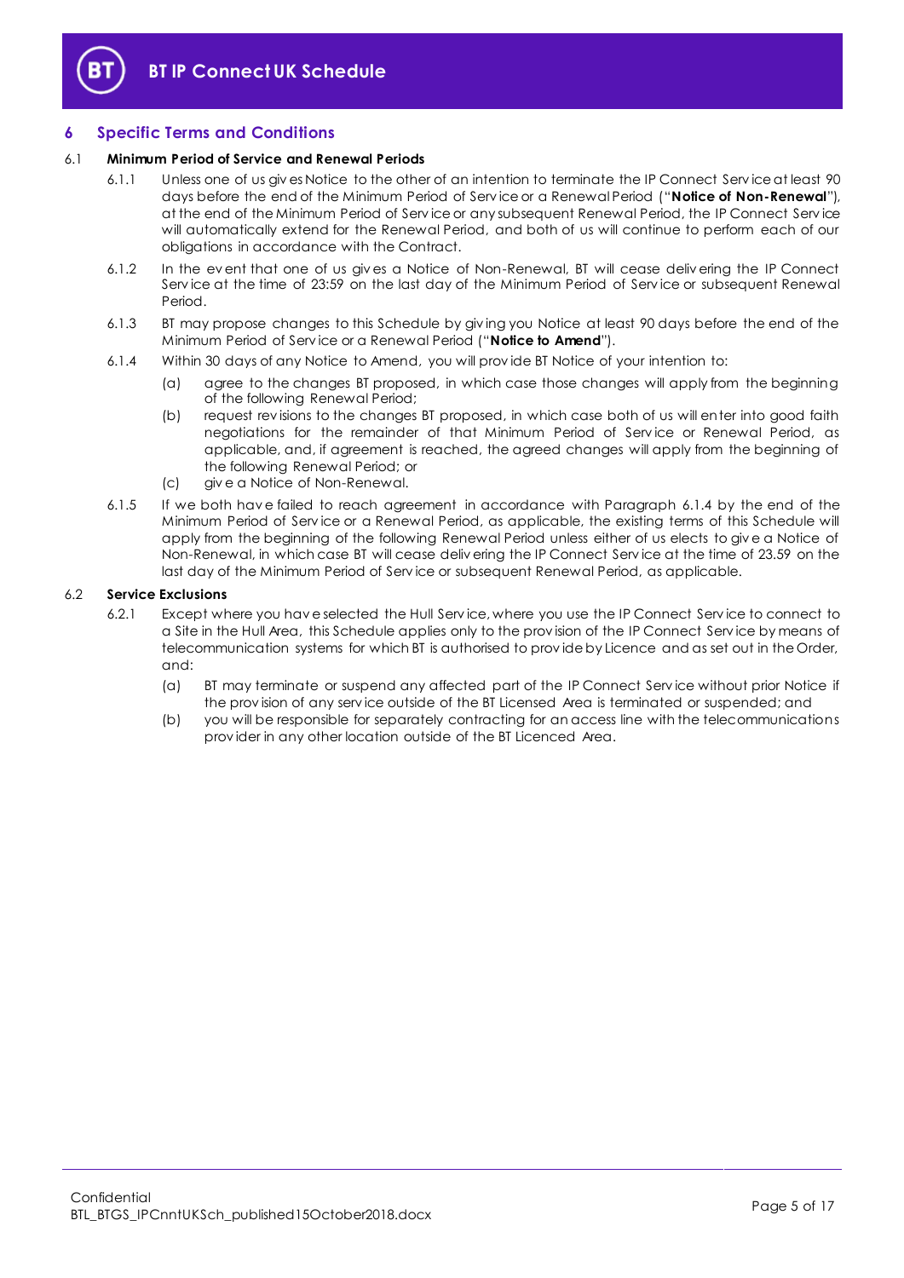

### <span id="page-4-0"></span>**6 Specific Terms and Conditions**

#### <span id="page-4-2"></span>6.1 **Minimum Period of Service and Renewal Periods**

- 6.1.1 Unless one of us giv es Notice to the other of an intention to terminate the IP Connect Serv ice at least 90 days before the end of the Minimum Period of Serv ice or a Renewal Period ("**Notice of Non-Renewal**"), at the end of the Minimum Period of Serv ice or any subsequent Renewal Period, the IP Connect Serv ice will automatically extend for the Renewal Period, and both of us will continue to perform each of our obligations in accordance with the Contract.
- 6.1.2 In the ev ent that one of us giv es a Notice of Non-Renewal, BT will cease deliv ering the IP Connect Serv ice at the time of 23:59 on the last day of the Minimum Period of Serv ice or subsequent Renewal Period.
- <span id="page-4-3"></span>6.1.3 BT may propose changes to this Schedule by giv ing you Notice at least 90 days before the end of the Minimum Period of Serv ice or a Renewal Period ("**Notice to Amend**").
- <span id="page-4-1"></span>6.1.4 Within 30 days of any Notice to Amend, you will prov ide BT Notice of your intention to:
	- (a) agree to the changes BT proposed, in which case those changes will apply from the beginning of the following Renewal Period;
	- (b) request rev isions to the changes BT proposed, in which case both of us will enter into good faith negotiations for the remainder of that Minimum Period of Service or Renewal Period, as applicable, and, if agreement is reached, the agreed changes will apply from the beginning of the following Renewal Period; or
	- (c) giv e a Notice of Non-Renewal.
- 6.1.5 If we both hav e failed to reach agreement in accordance with Paragraph [6.1.4](#page-4-1) by the end of the Minimum Period of Serv ice or a Renewal Period, as applicable, the existing terms of this Schedule will apply from the beginning of the following Renewal Period unless either of us elects to giv e a Notice of Non-Renewal, in which case BT will cease deliv ering the IP Connect Serv ice at the time of 23.59 on the last day of the Minimum Period of Serv ice or subsequent Renewal Period, as applicable.

#### 6.2 **Service Exclusions**

- 6.2.1 Except where you hav e selected the Hull Serv ice, where you use the IP Connect Serv ice to connect to a Site in the Hull Area, this Schedule applies only to the prov ision of the IP Connect Serv ice by means of telecommunication systems for which BT is authorised to prov ide by Licence and as set out in the Order, and:
	- (a) BT may terminate or suspend any affected part of the IP Connect Serv ice without prior Notice if the prov ision of any serv ice outside of the BT Licensed Area is terminated or suspended; and
	- (b) you will be responsible for separately contracting for an access line with the telecommunications prov ider in any other location outside of the BT Licenced Area.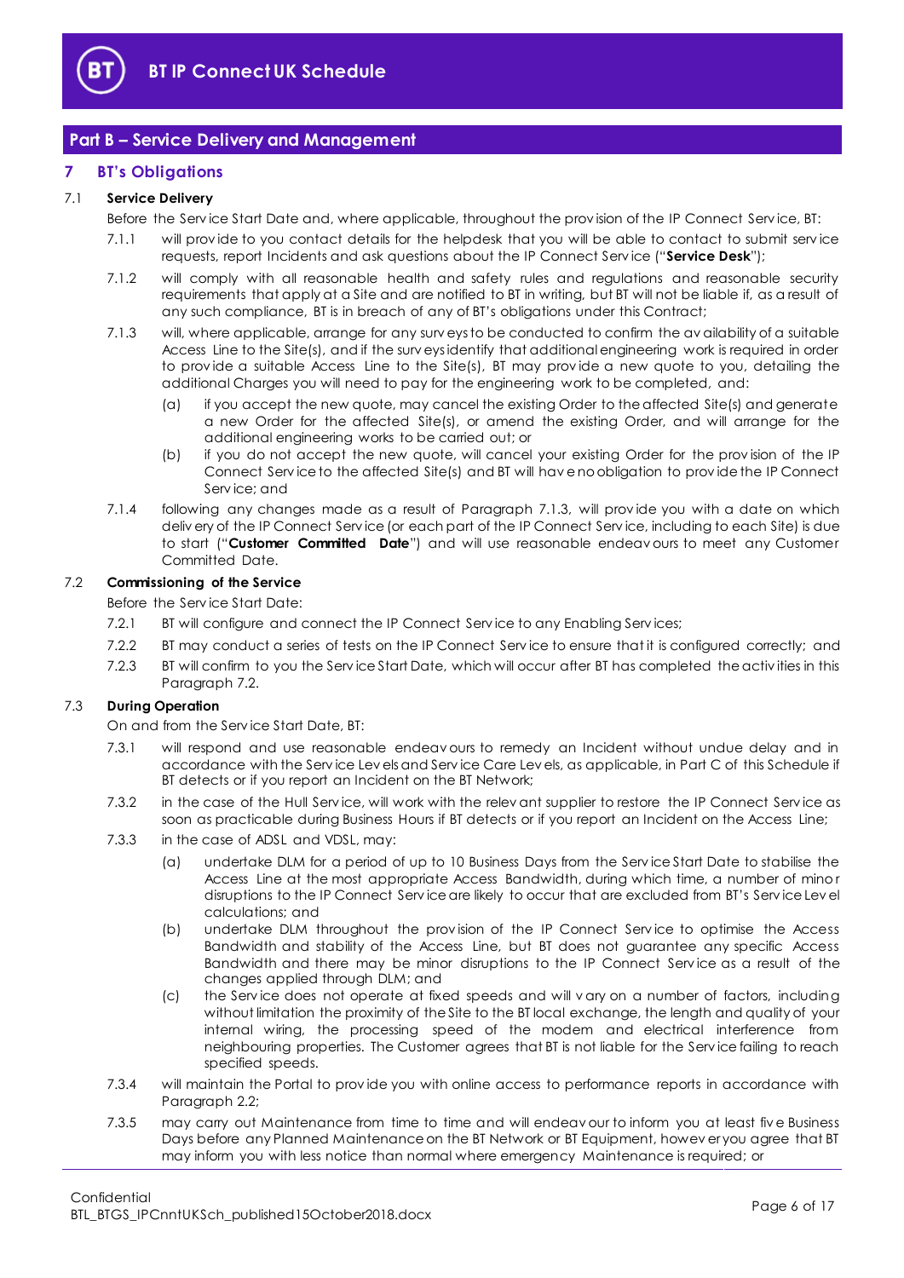

### <span id="page-5-0"></span>**Part B – Service Delivery and Management**

#### <span id="page-5-1"></span>**7 BT's Obligations**

### <span id="page-5-5"></span>7.1 **Service Delivery**

Before the Serv ice Start Date and, where applicable, throughout the prov ision of the IP Connect Serv ice, BT:

- 7.1.1 will prov ide to you contact details for the helpdesk that you will be able to contact to submit serv ice requests, report Incidents and ask questions about the IP Connect Serv ice ("**Service Desk**");
- 7.1.2 will comply with all reasonable health and safety rules and regulations and reasonable security requirements that apply at a Site and are notified to BT in writing, but BT will not be liable if, as a result of any such compliance, BT is in breach of any of BT's obligations under this Contract;
- <span id="page-5-2"></span>7.1.3 will, where applicable, arrange for any surv eys to be conducted to confirm the av ailability of a suitable Access Line to the Site(s), and if the surv eys identify that additional engineering work is required in order to prov ide a suitable Access Line to the Site(s), BT may prov ide a new quote to you, detailing the additional Charges you will need to pay for the engineering work to be completed, and:
	- (a) if you accept the new quote, may cancel the existing Order to the affected Site(s) and generate a new Order for the affected Site(s), or amend the existing Order, and will arrange for the additional engineering works to be carried out; or
	- (b) if you do not accept the new quote, will cancel your existing Order for the prov ision of the IP Connect Serv ice to the affected Site(s) and BT will hav e no obligation to prov ide the IP Connect Serv ice; and
- <span id="page-5-4"></span>7.1.4 following any changes made as a result of Paragraph [7.1.3,](#page-5-2) will prov ide you with a date on which deliv ery of the IP Connect Serv ice (or each part of the IP Connect Serv ice, including to each Site) is due to start ("**Customer Committed Date**") and will use reasonable endeav ours to meet any Customer Committed Date.

#### <span id="page-5-3"></span>7.2 **Commissioning of the Service**

Before the Serv ice Start Date:

- 7.2.1 BT will configure and connect the IP Connect Serv ice to any Enabling Serv ices;
- 7.2.2 BT may conduct a series of tests on the IP Connect Service to ensure that it is configured correctly; and
- 7.2.3 BT will confirm to you the Serv ice Start Date, which will occur after BT has completed the activ ities in this Paragrap[h 7.2.](#page-5-3)

#### 7.3 **During Operation**

On and from the Serv ice Start Date, BT:

- 7.3.1 will respond and use reasonable endeav ours to remedy an Incident without undue delay and in accordance with the Serv ice Lev els and Serv ice Care Lev els, as applicable, in Part C of this Schedule if BT detects or if you report an Incident on the BT Network;
- 7.3.2 in the case of the Hull Service, will work with the relev ant supplier to restore the IP Connect Service as soon as practicable during Business Hours if BT detects or if you report an Incident on the Access Line;
- 7.3.3 in the case of ADSL and VDSL, may:
	- (a) undertake DLM for a period of up to 10 Business Days from the Serv ice Start Date to stabilise the Access Line at the most appropriate Access Bandwidth, during which time, a number of mino r disruptions to the IP Connect Serv ice are likely to occur that are excluded from BT's Serv ice Lev el calculations; and
	- (b) undertake DLM throughout the prov ision of the IP Connect Serv ice to optimise the Access Bandwidth and stability of the Access Line, but BT does not guarantee any specific Access Bandwidth and there may be minor disruptions to the IP Connect Serv ice as a result of the changes applied through DLM; and
	- (c) the Serv ice does not operate at fixed speeds and will v ary on a number of factors, including without limitation the proximity of the Site to the BT local exchange, the length and quality of your internal wiring, the processing speed of the modem and electrical interference from neighbouring properties. The Customer agrees that BT is not liable for the Serv ice failing to reach specified speeds.
- 7.3.4 will maintain the Portal to prov ide you with online access to performance reports in accordance with Paragrap[h 2.2;](#page-2-1)
- 7.3.5 may carry out Maintenance from time to time and will endeav our to inform you at least five Business Days before any Planned Maintenance on the BT Network or BT Equipment, howev er you agree that BT may inform you with less notice than normal where emergency Maintenance is required; or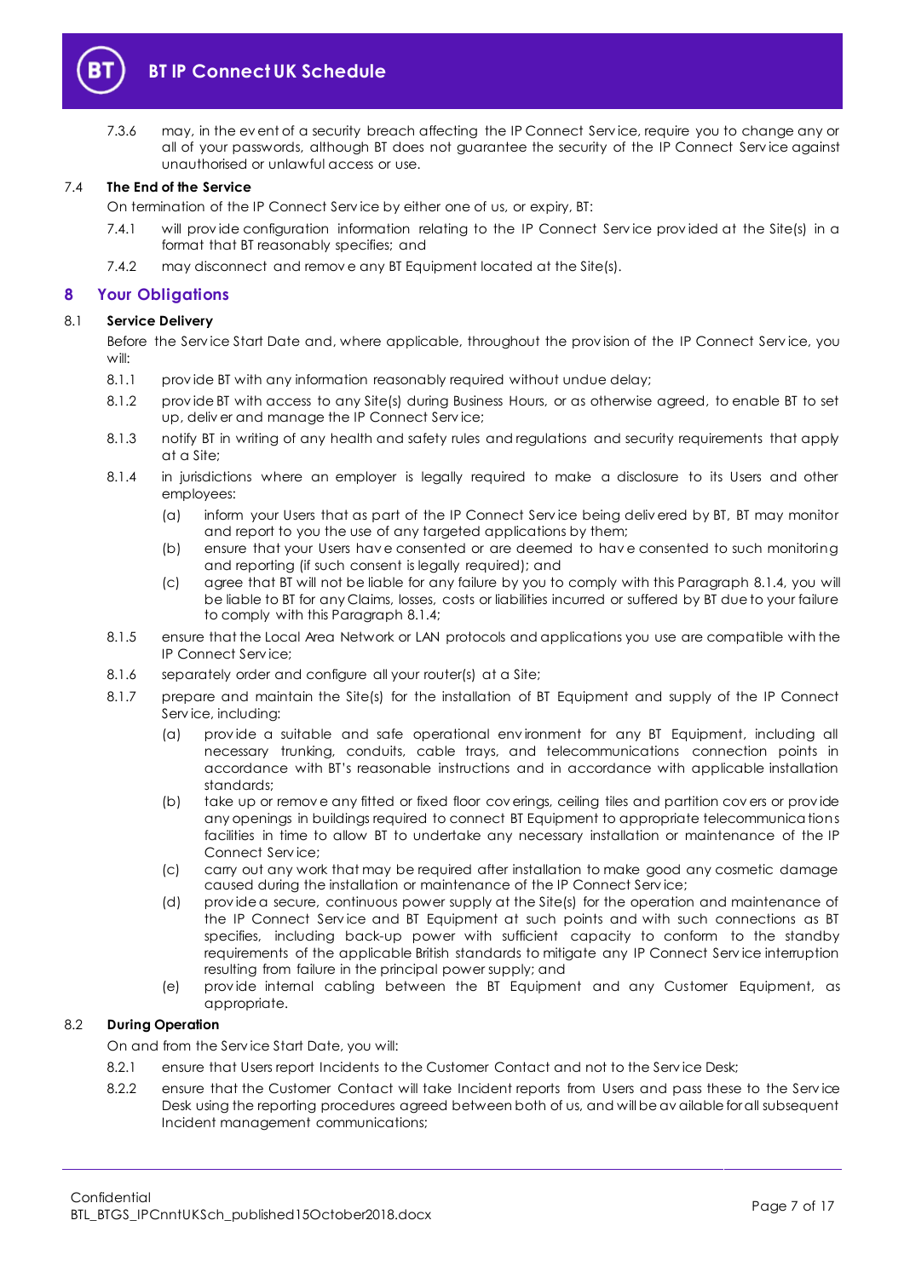

7.3.6 may, in the ev ent of a security breach affecting the IP Connect Serv ice, require you to change any or all of your passwords, although BT does not guarantee the security of the IP Connect Serv ice against unauthorised or unlawful access or use.

#### 7.4 **The End of the Service**

On termination of the IP Connect Serv ice by either one of us, or expiry, BT:

- 7.4.1 will provide configuration information relating to the IP Connect Service provided at the Site(s) in a format that BT reasonably specifies; and
- 7.4.2 may disconnect and remov e any BT Equipment located at the Site(s).

#### <span id="page-6-0"></span>**8 Your Obligations**

#### 8.1 **Service Delivery**

Before the Serv ice Start Date and, where applicable, throughout the prov ision of the IP Connect Serv ice, you will:

- 8.1.1 prov ide BT with any information reasonably required without undue delay;
- 8.1.2 prov ide BT with access to any Site(s) during Business Hours, or as otherwise agreed, to enable BT to set up, deliv er and manage the IP Connect Serv ice;
- 8.1.3 notify BT in writing of any health and safety rules and regulations and security requirements that apply at a Site;
- <span id="page-6-1"></span>8.1.4 in jurisdictions where an employer is legally required to make a disclosure to its Users and other employees:
	- (a) inform your Users that as part of the IP Connect Serv ice being deliv ered by BT, BT may monitor and report to you the use of any targeted applications by them;
	- (b) ensure that your Users hav e consented or are deemed to hav e consented to such monitoring and reporting (if such consent is legally required); and
	- (c) agree that BT will not be liable for any failure by you to comply with this Paragraph [8.1.4,](#page-6-1) you will be liable to BT for any Claims, losses, costs or liabilities incurred or suffered by BT due to your failure to comply with this Paragrap[h 8.1.4;](#page-6-1)
- 8.1.5 ensure that the Local Area Network or LAN protocols and applications you use are compatible with the IP Connect Serv ice;
- 8.1.6 separately order and configure all your router(s) at a Site;
- 8.1.7 prepare and maintain the Site(s) for the installation of BT Equipment and supply of the IP Connect Serv ice, including:
	- (a) prov ide a suitable and safe operational env ironment for any BT Equipment, including all necessary trunking, conduits, cable trays, and telecommunications connection points in accordance with BT's reasonable instructions and in accordance with applicable installation standards;
	- (b) take up or remov e any fitted or fixed floor cov erings, ceiling tiles and partition cov ers or prov ide any openings in buildings required to connect BT Equipment to appropriate telecommunications facilities in time to allow BT to undertake any necessary installation or maintenance of the IP Connect Serv ice;
	- (c) carry out any work that may be required after installation to make good any cosmetic damage caused during the installation or maintenance of the IP Connect Serv ice;
	- (d) prov ide a secure, continuous power supply at the Site(s) for the operation and maintenance of the IP Connect Serv ice and BT Equipment at such points and with such connections as BT specifies, including back-up power with sufficient capacity to conform to the standby requirements of the applicable British standards to mitigate any IP Connect Serv ice interruption resulting from failure in the principal power supply; and
	- (e) prov ide internal cabling between the BT Equipment and any Customer Equipment, as appropriate.

#### 8.2 **During Operation**

On and from the Serv ice Start Date, you will:

- 8.2.1 ensure that Users report Incidents to the Customer Contact and not to the Service Desk;
- 8.2.2 ensure that the Customer Contact will take Incident reports from Users and pass these to the Service Desk using the reporting procedures agreed between both of us, and will be av ailable for all subsequent Incident management communications;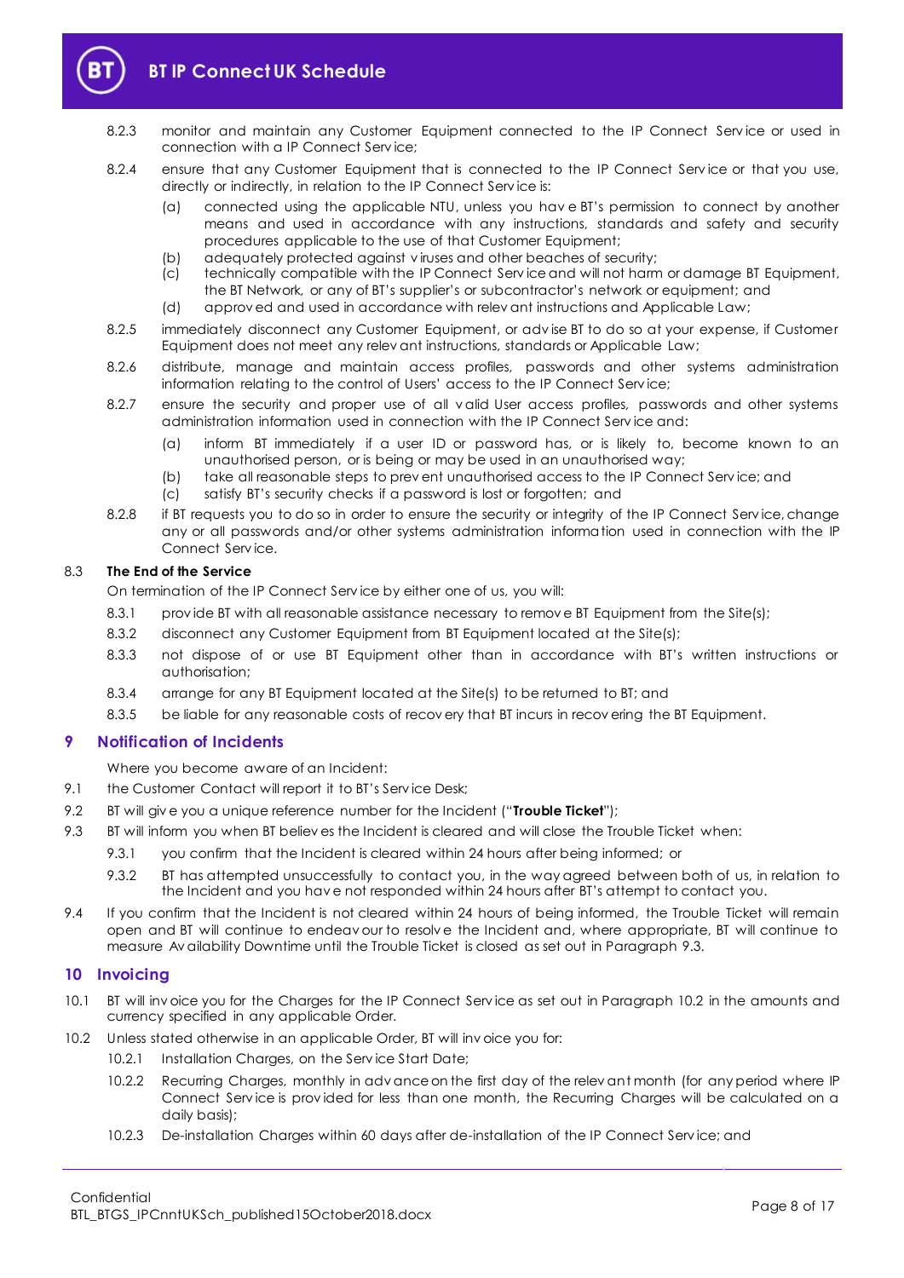

- 8.2.3 monitor and maintain any Customer Equipment connected to the IP Connect Service or used in connection with a IP Connect Serv ice;
- 8.2.4 ensure that any Customer Equipment that is connected to the IP Connect Service or that you use, directly or indirectly, in relation to the IP Connect Serv ice is:
	- (a) connected using the applicable NTU, unless you hav e BT's permission to connect by another means and used in accordance with any instructions, standards and safety and security procedures applicable to the use of that Customer Equipment;
	- (b) adequately protected against v iruses and other beaches of security;
	- (c) technically compatible with the IP Connect Serv ice and will not harm or damage BT Equipment, the BT Network, or any of BT's supplier's or subcontractor's network or equipment; and
	- (d) approv ed and used in accordance with relev ant instructions and Applicable Law;
- 8.2.5 immediately disconnect any Customer Equipment, or adv ise BT to do so at your expense, if Customer Equipment does not meet any relev ant instructions, standards or Applicable Law;
- 8.2.6 distribute, manage and maintain access profiles, passwords and other systems administration information relating to the control of Users' access to the IP Connect Serv ice;
- 8.2.7 ensure the security and proper use of all v alid User access profiles, passwords and other systems administration information used in connection with the IP Connect Serv ice and:
	- (a) inform BT immediately if a user ID or password has, or is likely to, become known to an unauthorised person, or is being or may be used in an unauthorised way;
	- (b) take all reasonable steps to prev ent unauthorised access to the IP Connect Service; and
	- (c) satisfy BT's security checks if a password is lost or forgotten; and
- 8.2.8 if BT requests you to do so in order to ensure the security or integrity of the IP Connect Service, change any or all passwords and/or other systems administration information used in connection with the IP Connect Serv ice.

#### 8.3 **The End of the Service**

On termination of the IP Connect Serv ice by either one of us, you will:

- 8.3.1 provide BT with all reasonable assistance necessary to remove BT Equipment from the Site(s);
- 8.3.2 disconnect any Customer Equipment from BT Equipment located at the Site(s);
- 8.3.3 not dispose of or use BT Equipment other than in accordance with BT's written instructions or authorisation;
- 8.3.4 arrange for any BT Equipment located at the Site(s) to be returned to BT; and
- 8.3.5 be liable for any reasonable costs of recov ery that BT incurs in recov ering the BT Equipment.

#### <span id="page-7-0"></span>**9 Notification of Incidents**

Where you become aware of an Incident:

- 9.1 the Customer Contact will report it to BT's Service Desk;
- <span id="page-7-4"></span>9.2 BT will giv e you a unique reference number for the Incident ("**Trouble Ticket**");
- <span id="page-7-2"></span>9.3 BT will inform you when BT believ es the Incident is cleared and will close the Trouble Ticket when:
	- 9.3.1 you confirm that the Incident is cleared within 24 hours after being informed; or
	- 9.3.2 BT has attempted unsuccessfully to contact you, in the way agreed between both of us, in relation to the Incident and you hav e not responded within 24 hours after BT's attempt to contact you.
- 9.4 If you confirm that the Incident is not cleared within 24 hours of being informed, the Trouble Ticket will remain open and BT will continue to endeav our to resolv e the Incident and, where appropriate, BT will continue to measure Av ailability Downtime until the Trouble Ticket is closed as set out in Paragraph [9.3.](#page-7-2)

#### <span id="page-7-1"></span>**10 Invoicing**

- 10.1 BT will inv oice you for the Charges for the IP Connect Serv ice as set out in Paragraph [10.2](#page-7-3) in the amounts and currency specified in any applicable Order.
- <span id="page-7-3"></span>10.2 Unless stated otherwise in an applicable Order, BT will inv oice you for:
	- 10.2.1 Installation Charges, on the Service Start Date;
	- 10.2.2 Recurring Charges, monthly in adv ance on the first day of the relev ant month (for any period where IP Connect Serv ice is prov ided for less than one month, the Recurring Charges will be calculated on a daily basis);
	- 10.2.3 De-installation Charges within 60 days after de-installation of the IP Connect Serv ice; and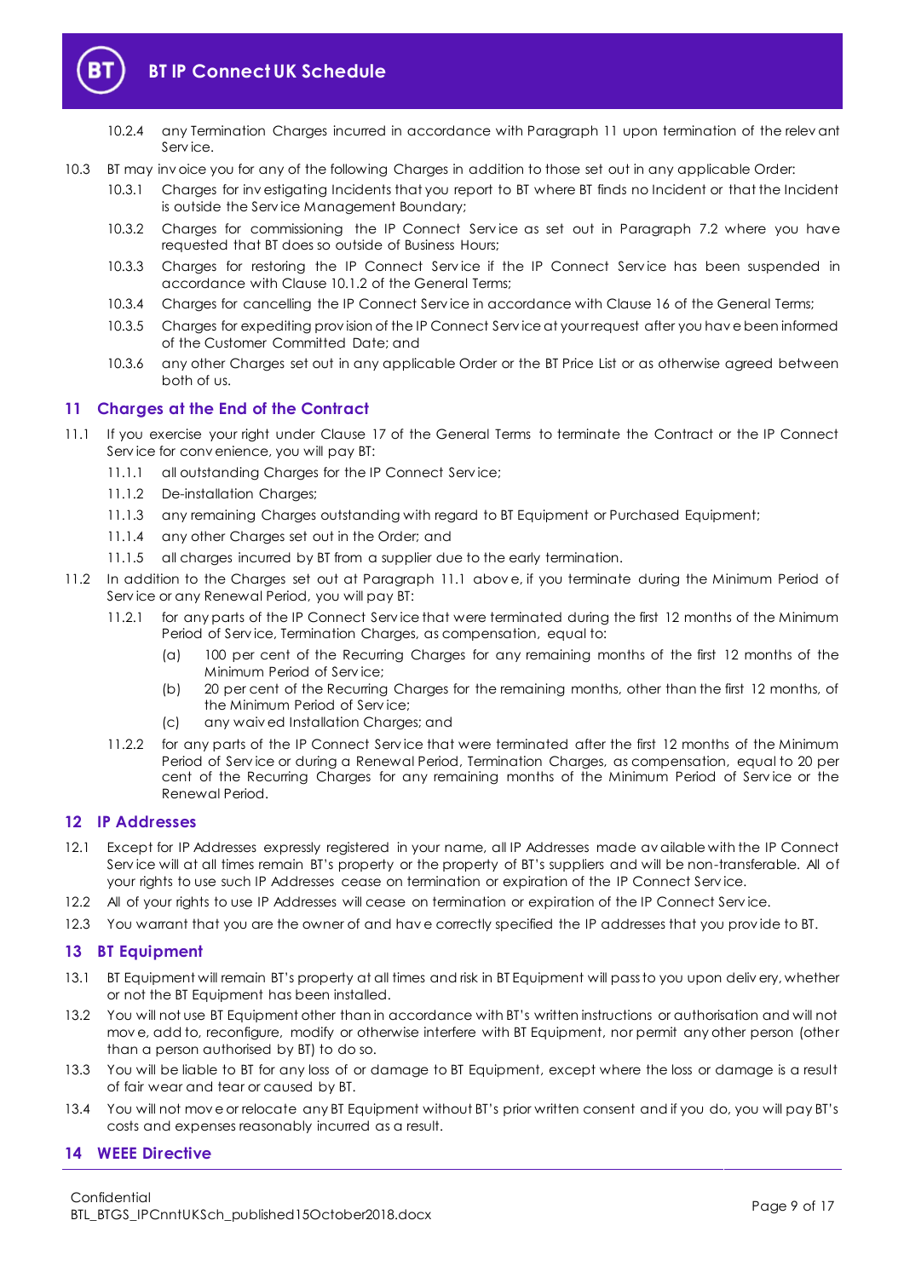

- 10.2.4 any Termination Charges incurred in accordance with Paragraph [11](#page-8-0) upon termination of the relev ant Serv ice.
- 10.3 BT may inv oice you for any of the following Charges in addition to those set out in any applicable Order:
	- 10.3.1 Charges for inv estigating Incidents that you report to BT where BT finds no Incident or that the Incident is outside the Serv ice Management Boundary;
	- 10.3.2 Charges for commissioning the IP Connect Service as set out in Paragraph [7.2](#page-5-3) where you have requested that BT does so outside of Business Hours;
	- 10.3.3 Charges for restoring the IP Connect Service if the IP Connect Service has been suspended in accordance with Clause 10.1.2 of the General Terms;
	- 10.3.4 Charges for cancelling the IP Connect Serv ice in accordance with Clause 16 of the General Terms;
	- 10.3.5 Charges for expediting prov ision of the IP Connect Serv ice at your request after you hav e been informed of the Customer Committed Date; and
	- 10.3.6 any other Charges set out in any applicable Order or the BT Price List or as otherwise agreed between both of us.

#### <span id="page-8-0"></span>**11 Charges at the End of the Contract**

- <span id="page-8-4"></span>11.1 If you exercise your right under Clause 17 of the General Terms to terminate the Contract or the IP Connect Serv ice for conv enience, you will pay BT:
	- 11.1.1 all outstanding Charges for the IP Connect Serv ice;
	- 11.1.2 De-installation Charges;
	- 11.1.3 any remaining Charges outstanding with regard to BT Equipment or Purchased Equipment;
	- 11.1.4 any other Charges set out in the Order; and
	- 11.1.5 all charges incurred by BT from a supplier due to the early termination.
- 11.2 In addition to the Charges set out at Paragraph [11.1](#page-8-4) abov e, if you terminate during the Minimum Period of Serv ice or any Renewal Period, you will pay BT:
	- 11.2.1 for any parts of the IP Connect Serv ice that were terminated during the first 12 months of the Minimum Period of Serv ice, Termination Charges, as compensation, equal to:
		- (a) 100 per cent of the Recurring Charges for any remaining months of the first 12 months of the Minimum Period of Serv ice;
		- (b) 20 per cent of the Recurring Charges for the remaining months, other than the first 12 months, of the Minimum Period of Serv ice;
		- (c) any waiv ed Installation Charges; and
	- 11.2.2 for any parts of the IP Connect Serv ice that were terminated after the first 12 months of the Minimum Period of Serv ice or during a Renewal Period, Termination Charges, as compensation, equal to 20 per cent of the Recurring Charges for any remaining months of the Minimum Period of Serv ice or the Renewal Period.

#### <span id="page-8-1"></span>**12 IP Addresses**

- 12.1 Except for IP Addresses expressly registered in your name, all IP Addresses made av ailable with the IP Connect Service will at all times remain BT's property or the property of BT's suppliers and will be non-transferable. All of your rights to use such IP Addresses cease on termination or expiration of the IP Connect Serv ice.
- 12.2 All of your rights to use IP Addresses will cease on termination or expiration of the IP Connect Service.
- 12.3 You warrant that you are the owner of and have correctly specified the IP addresses that you provide to BT.

#### <span id="page-8-2"></span>**13 BT Equipment**

- 13.1 BT Equipment will remain BT's property at all times and risk in BT Equipment will pass to you upon deliv ery, whether or not the BT Equipment has been installed.
- 13.2 You will not use BT Equipment other than in accordance with BT's written instructions or authorisation and will not mov e, add to, reconfigure, modify or otherwise interfere with BT Equipment, nor permit any other person (other than a person authorised by BT) to do so.
- 13.3 You will be liable to BT for any loss of or damage to BT Equipment, except where the loss or damage is a result of fair wear and tear or caused by BT.
- 13.4 You will not mov e or relocate any BT Equipment without BT's prior written consent and if you do, you will pay BT's costs and expenses reasonably incurred as a result.

#### <span id="page-8-3"></span>**14 WEEE Directive**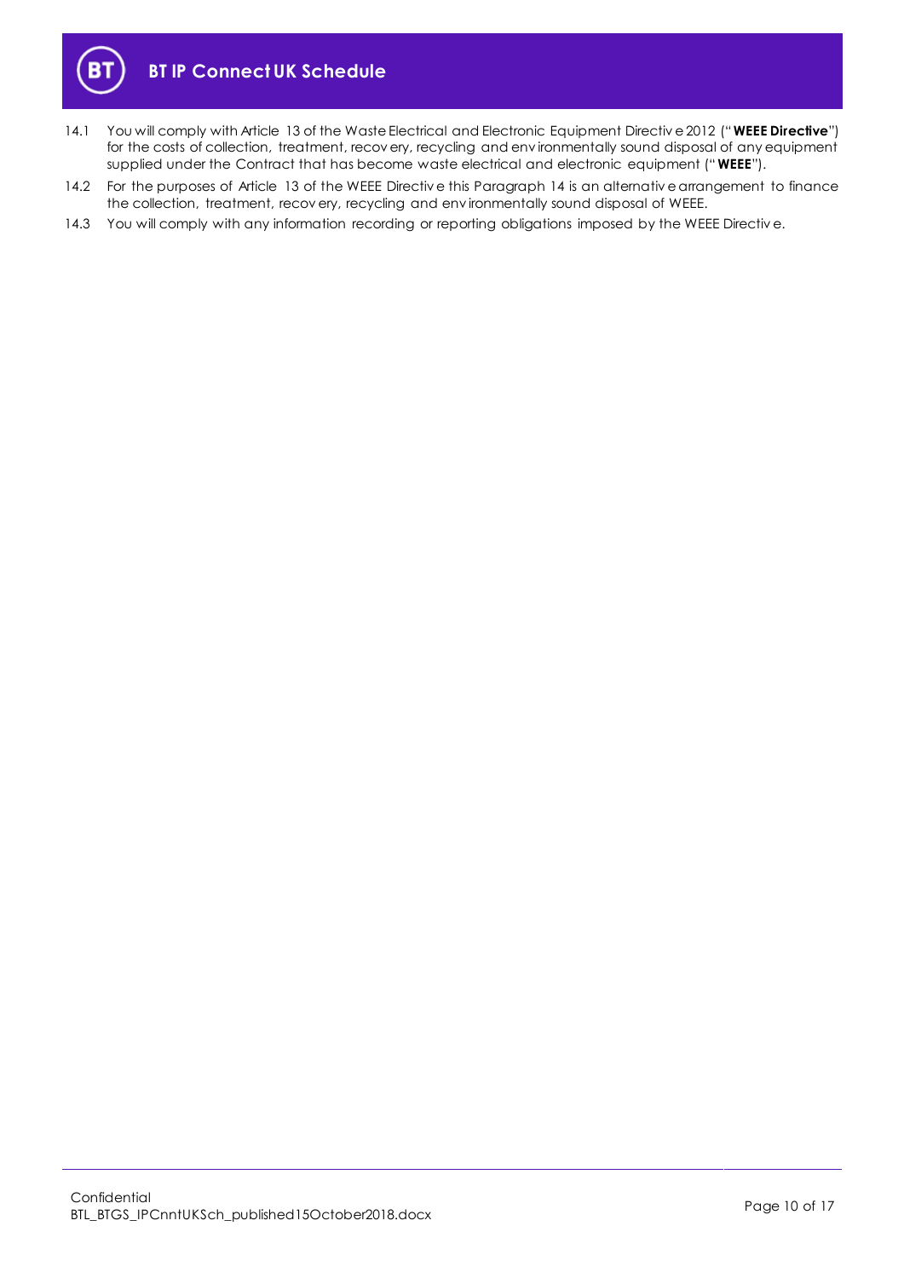



- <span id="page-9-0"></span>14.1 You will comply with Article 13 of the Waste Electrical and Electronic Equipment Directiv e 2012 ("**WEEE Directive**") for the costs of collection, treatment, recov ery, recycling and env ironmentally sound disposal of any equipment supplied under the Contract that has become waste electrical and electronic equipment ("**WEEE**").
- 14.2 For the purposes of Article 13 of the WEEE Directiv e this Paragraph [14](#page-8-3) is an alternativ e arrangement to finance the collection, treatment, recov ery, recycling and env ironmentally sound disposal of WEEE.
- 14.3 You will comply with any information recording or reporting obligations imposed by the WEEE Directive.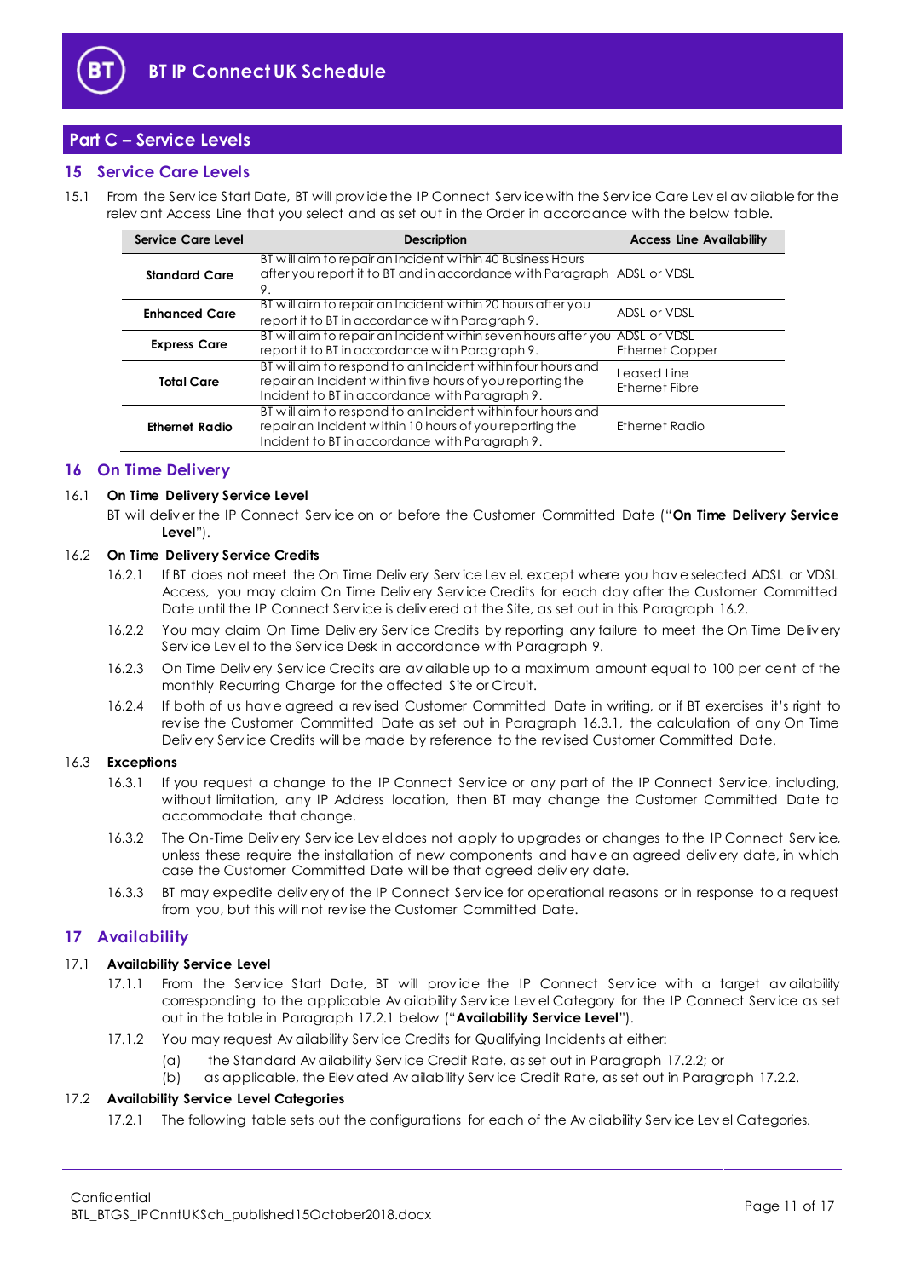

# <span id="page-10-0"></span>**Part C – Service Levels**

#### <span id="page-10-1"></span>**15 Service Care Levels**

15.1 From the Serv ice Start Date, BT will prov ide the IP Connect Serv ice with the Serv ice Care Lev el av ailable for the relev ant Access Line that you select and as set out in the Order in accordance with the below table.

| Service Care Level    | <b>Description</b>                                                                                                                                                         | <b>Access Line Availability</b> |
|-----------------------|----------------------------------------------------------------------------------------------------------------------------------------------------------------------------|---------------------------------|
| <b>Standard Care</b>  | BT will aim to repair an Incident within 40 Business Hours<br>after you report it to BT and in accordance with Paragraph ADSL or VDSL<br>9.                                |                                 |
| <b>Enhanced Care</b>  | BT will aim to repair an Incident within 20 hours after you<br>report it to BT in accordance with Paragraph 9.                                                             | ADSL or VDSL                    |
| <b>Express Care</b>   | BT will aim to repair an Incident within seven hours after you ADSL or VDSL<br>report it to BT in accordance with Paragraph 9.                                             | Ethernet Copper                 |
| <b>Total Care</b>     | BT will aim to respond to an Incident within four hours and<br>repair an Incident within five hours of you reporting the<br>Incident to BT in accordance with Paragraph 9. | Leased Line<br>Ethernet Fibre   |
| <b>Ethernet Radio</b> | BT will aim to respond to an Incident within four hours and<br>repair an Incident within 10 hours of you reporting the<br>Incident to BT in accordance with Paragraph 9.   | Ethernet Radio                  |

#### <span id="page-10-2"></span>**16 On Time Delivery**

#### <span id="page-10-8"></span>16.1 **On Time Delivery Service Level**

BT will deliv er the IP Connect Serv ice on or before the Customer Committed Date ("**On Time Delivery Service Level**").

#### <span id="page-10-4"></span>16.2 **On Time Delivery Service Credits**

- 16.2.1 If BT does not meet the On Time Deliv ery Serv ice Lev el, except where you hav e selected ADSL or VDSL Access, you may claim On Time Deliv ery Serv ice Credits for each day after the Customer Committed Date until the IP Connect Serv ice is deliv ered at the Site, as set out in this Paragrap[h 16.2.](#page-10-4)
- 16.2.2 You may claim On Time Deliv ery Serv ice Credits by reporting any failure to meet the On Time Deliv ery Serv ice Lev el to the Serv ice Desk in accordance with Paragrap[h 9.](#page-7-0)
- 16.2.3 On Time Deliv ery Serv ice Credits are av ailable up to a maximum amount equal to 100 per cent of the monthly Recurring Charge for the affected Site or Circuit.
- 16.2.4 If both of us hav e agreed a rev ised Customer Committed Date in writing, or if BT exercises it's right to rev ise the Customer Committed Date as set out in Paragraph [16.3.1,](#page-10-5) the calculation of any On Time Deliv ery Serv ice Credits will be made by reference to the rev ised Customer Committed Date.

#### <span id="page-10-5"></span>16.3 **Exceptions**

- 16.3.1 If you request a change to the IP Connect Serv ice or any part of the IP Connect Serv ice, including, without limitation, any IP Address location, then BT may change the Customer Committed Date to accommodate that change.
- 16.3.2 The On-Time Deliv ery Serv ice Lev el does not apply to upgrades or changes to the IP Connect Serv ice, unless these require the installation of new components and hav e an agreed deliv ery date, in which case the Customer Committed Date will be that agreed deliv ery date.
- 16.3.3 BT may expedite deliv ery of the IP Connect Serv ice for operational reasons or in response to a request from you, but this will not rev ise the Customer Committed Date.

#### <span id="page-10-3"></span>**17 Availability**

#### <span id="page-10-7"></span>17.1 **Availability Service Level**

- 17.1.1 From the Service Start Date, BT will provide the IP Connect Service with a target availability corresponding to the applicable Av ailability Serv ice Lev el Category for the IP Connect Serv ice as set out in the table in Paragrap[h 17.2.1](#page-10-6) below ("**Availability Service Level**").
- 17.1.2 You may request Av ailability Serv ice Credits for Qualifying Incidents at either:
	- (a) the Standard Av ailability Serv ice Credit Rate, as set out in Paragraph [17.2.2;](#page-11-0) or
	- (b) as applicable, the Elev ated Av ailability Serv ice Credit Rate, as set out in Paragraph [17.2.2.](#page-11-0)

#### <span id="page-10-6"></span>17.2 **Availability Service Level Categories**

17.2.1 The following table sets out the configurations for each of the Av ailability Serv ice Lev el Categories.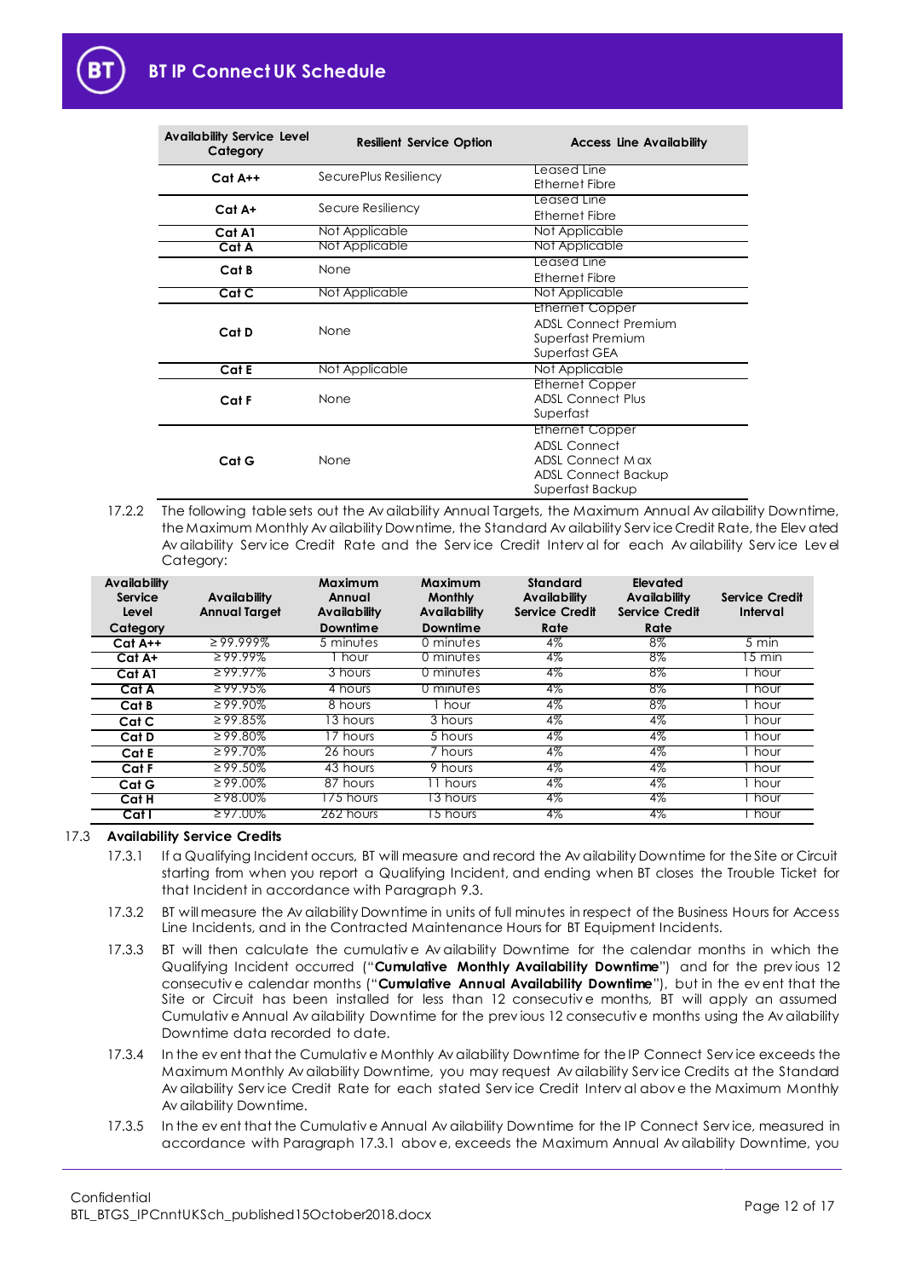| <b>Availability Service Level</b><br>Category | <b>Resilient Service Option</b> | <b>Access Line Availability</b> |
|-----------------------------------------------|---------------------------------|---------------------------------|
| $Cat A++$                                     | SecurePlus Resiliency           | Leased Line                     |
|                                               |                                 | Ethernet Fibre                  |
| $Cat A+$                                      | Secure Resiliency               | Leased Line                     |
|                                               |                                 | <b>Ethernet Fibre</b>           |
| Cat A1                                        | Not Applicable                  | Not Applicable                  |
| Cat A                                         | Not Applicable                  | Not Applicable                  |
| Cat B                                         | None                            | Leased Line                     |
|                                               |                                 | Ethernet Fibre                  |
| Cat C                                         | Not Applicable                  | Not Applicable                  |
|                                               |                                 | <b>Ethernet Copper</b>          |
|                                               | None                            | <b>ADSL Connect Premium</b>     |
| Cat D                                         |                                 | Superfast Premium               |
|                                               |                                 | Superfast GEA                   |
| Cat E                                         | Not Applicable                  | Not Applicable                  |
|                                               |                                 | Ethernet Copper                 |
| Cat F                                         | None                            | <b>ADSL Connect Plus</b>        |
|                                               |                                 | Superfast                       |
|                                               |                                 | <b>Ethernet Copper</b>          |
|                                               |                                 | <b>ADSL Connect</b>             |
| Cat G                                         | None                            | ADSL Connect Max                |
|                                               |                                 | <b>ADSL Connect Backup</b>      |
|                                               |                                 | Superfast Backup                |

<span id="page-11-0"></span>17.2.2 The following table sets out the Av ailability Annual Targets, the Maximum Annual Av ailability Downtime, the Maximum Monthly Av ailability Downtime, the Standard Av ailability Serv ice Credit Rate, the Elev ated Av ailability Serv ice Credit Rate and the Serv ice Credit Interv al for each Av ailability Serv ice Lev el Category:

| <b>Availability</b><br>Service<br>Level | Availability<br><b>Annual Target</b> | Maximum<br>Annual<br>Availability | Maximum<br><b>Monthly</b><br>Availability | <b>Standard</b><br><b>Availability</b><br><b>Service Credit</b> | Elevated<br>Availability<br><b>Service Credit</b> | <b>Service Credit</b><br>Interval |
|-----------------------------------------|--------------------------------------|-----------------------------------|-------------------------------------------|-----------------------------------------------------------------|---------------------------------------------------|-----------------------------------|
| Category                                |                                      | Downtime                          | <b>Downtime</b>                           | Rate                                                            | Rate                                              |                                   |
| $Cat A++$                               | 299.999%                             | 5 minutes                         | 0 minutes                                 | $4\%$                                                           | 8%                                                | 5 min                             |
| Cat A+                                  | $299.99\%$                           | hour                              | 0 minutes                                 | 4%                                                              | 8%                                                | 5 min                             |
| Cat A1                                  | $\geq 99.97\%$                       | 3 hours                           | 0 minutes                                 | 4%                                                              | 8%                                                | hour                              |
| Cat A                                   | $\geq$ 99.95%                        | 4 hours                           | 0 minutes                                 | 4%                                                              | 8%                                                | hour                              |
| Cat B                                   | $\geq 99.90\%$                       | 8 hours                           | l hour                                    | 4%                                                              | 8%                                                | hour                              |
| Cat C                                   | $\geq 99.85\%$                       | $\sqrt{3}$ hours                  | 3 hours                                   | 4%                                                              | $4\%$                                             | hour                              |
| Cat D                                   | $\geq 99.80\%$                       | <b>T</b> hours                    | $\overline{5}$ hours                      | $4\%$                                                           | $4\%$                                             | hour                              |
| Cat E                                   | $\geq 99.70\%$                       | 26 hours                          | $\overline{7}$ hours                      | $4\%$                                                           | $4\%$                                             | hour                              |
| Cat F                                   | $\geq 99.50\%$                       | 43 hours                          | 9 hours                                   | $4\%$                                                           | 4%                                                | hour                              |
| Cat G                                   | $\geq 99.00\%$                       | $\overline{87}$ hours             | hours                                     | 4%                                                              | $4\%$                                             | hour                              |
| Cat H                                   | $\geq$ 98.00%                        | 75 hours                          | 3 hours                                   | 4%                                                              | 4%                                                | hour                              |
| Cat I                                   | $\geq 97.00\%$                       | 262 hours                         | 5 hours                                   | 4%                                                              | 4%                                                | hour                              |

#### <span id="page-11-1"></span>17.3 **Availability Service Credits**

- 17.3.1 If a Qualifying Incident occurs, BT will measure and record the Av ailability Downtime for the Site or Circuit starting from when you report a Qualifying Incident, and ending when BT closes the Trouble Ticket for that Incident in accordance with Paragrap[h 9.3.](#page-7-2)
- 17.3.2 BT will measure the Av ailability Downtime in units of full minutes in respect of the Business Hours for Access Line Incidents, and in the Contracted Maintenance Hours for BT Equipment Incidents.
- <span id="page-11-2"></span>17.3.3 BT will then calculate the cumulative Av ailability Downtime for the calendar months in which the Qualifying Incident occurred ("**Cumulative Monthly Availability Downtime**") and for the prev ious 12 consecutiv e calendar months ("**Cumulative Annual Availability Downtime**"), but in the ev ent that the Site or Circuit has been installed for less than 12 consecutive months, BT will apply an assumed Cumulativ e Annual Av ailability Downtime for the prev ious 12 consecutiv e months using the Av ailability Downtime data recorded to date.
- 17.3.4 In the ev ent that the Cumulativ e Monthly Av ailability Downtime for the IP Connect Serv ice exceeds the Maximum Monthly Av ailability Downtime, you may request Av ailability Serv ice Credits at the Standard Av ailability Serv ice Credit Rate for each stated Serv ice Credit Interv al abov e the Maximum Monthly Av ailability Downtime.
- 17.3.5 In the ev ent that the Cumulativ e Annual Av ailability Downtime for the IP Connect Service, measured in accordance with Paragraph [17.3.1](#page-11-1) abov e, exceeds the Maximum Annual Av ailability Downtime, you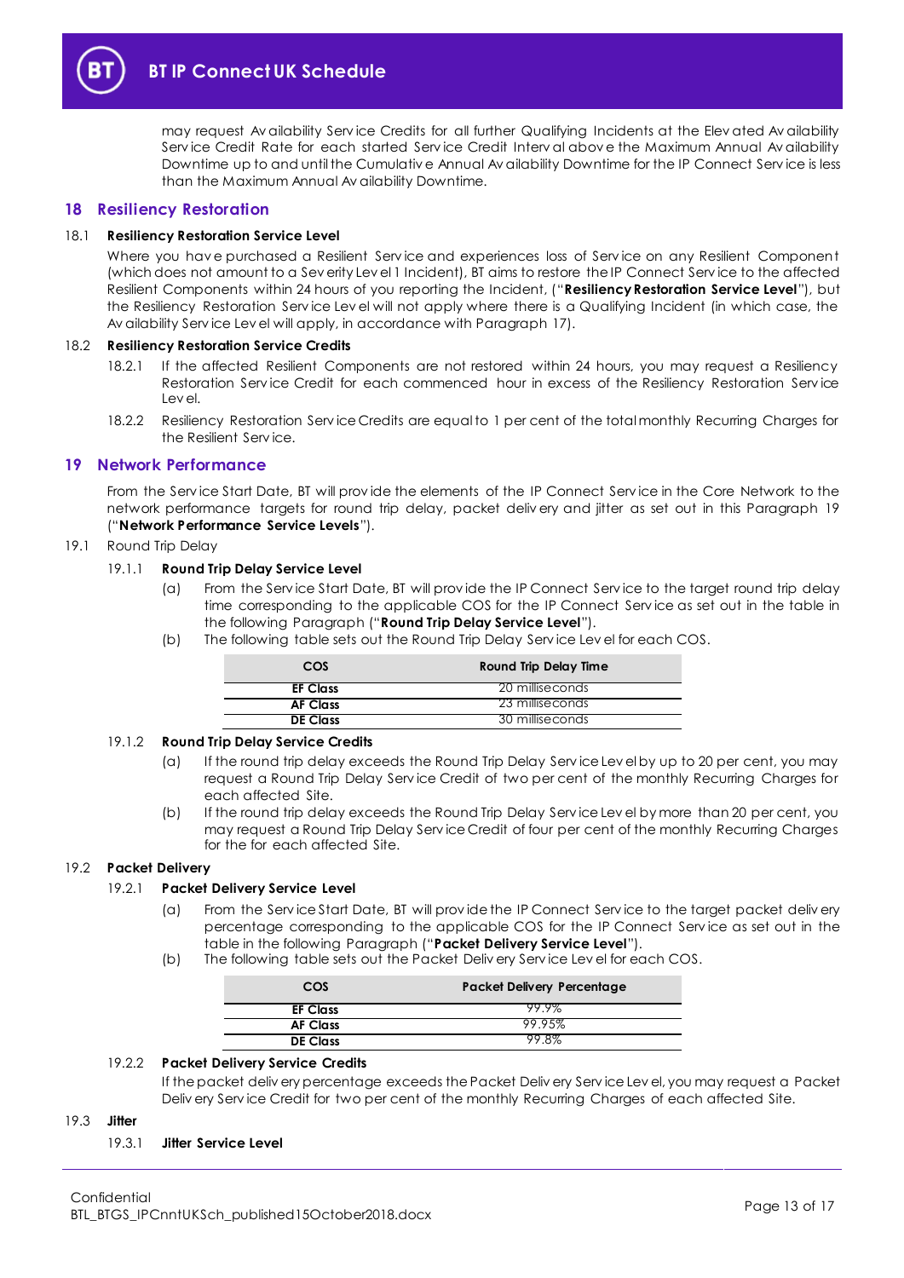

may request Av ailability Serv ice Credits for all further Qualifying Incidents at the Elev ated Av ailability Serv ice Credit Rate for each started Serv ice Credit Interv al abov e the Maximum Annual Av ailability Downtime up to and until the Cumulativ e Annual Av ailability Downtime for the IP Connect Serv ice is less than the Maximum Annual Av ailability Downtime.

#### <span id="page-12-0"></span>**18 Resiliency Restoration**

#### <span id="page-12-4"></span>18.1 **Resiliency Restoration Service Level**

Where you hav e purchased a Resilient Serv ice and experiences loss of Serv ice on any Resilient Component (which does not amount to a Sev erity Lev el 1 Incident), BT aims to restore the IP Connect Serv ice to the affected Resilient Components within 24 hours of you reporting the Incident, ("**Resiliency Restoration Service Level**"), but the Resiliency Restoration Serv ice Lev el will not apply where there is a Qualifying Incident (in which case, the Av ailability Serv ice Lev el will apply, in accordance with Paragrap[h 17\)](#page-10-3).

#### 18.2 **Resiliency Restoration Service Credits**

- 18.2.1 If the affected Resilient Components are not restored within 24 hours, you may request a Resiliency Restoration Serv ice Credit for each commenced hour in excess of the Resiliency Restoration Serv ice Lev el.
- 18.2.2 Resiliency Restoration Service Credits are equal to 1 per cent of the total monthly Recurring Charges for the Resilient Serv ice.

#### <span id="page-12-1"></span>**19 Network Performance**

From the Serv ice Start Date, BT will prov ide the elements of the IP Connect Serv ice in the Core Network to the network performance targets for round trip delay, packet deliv ery and jitter as set out in this Paragraph [19](#page-12-1) ("**Network Performance Service Levels**").

#### <span id="page-12-5"></span>19.1 Round Trip Delay

#### 19.1.1 **Round Trip Delay Service Level**

- (a) From the Serv ice Start Date, BT will prov ide the IP Connect Serv ice to the target round trip delay time corresponding to the applicable COS for the IP Connect Serv ice as set out in the table in the following Paragraph ("**Round Trip Delay Service Level**").
- (b) The following table sets out the Round Trip Delay Serv ice Lev el for each COS.

| COS             | <b>Round Trip Delay Time</b> |
|-----------------|------------------------------|
| <b>EF Class</b> | 20 milliseconds              |
| <b>AF Class</b> | 23 milliseconds              |
| <b>DE Class</b> | 30 milliseconds              |

#### 19.1.2 **Round Trip Delay Service Credits**

- (a) If the round trip delay exceeds the Round Trip Delay Serv ice Lev el by up to 20 per cent, you may request a Round Trip Delay Serv ice Credit of two per cent of the monthly Recurring Charges for each affected Site.
- (b) If the round trip delay exceeds the Round Trip Delay Serv ice Lev el by more than 20 per cent, you may request a Round Trip Delay Serv ice Credit of four per cent of the monthly Recurring Charges for the for each affected Site.

#### <span id="page-12-3"></span>19.2 **Packet Delivery**

#### 19.2.1 **Packet Delivery Service Level**

- (a) From the Serv ice Start Date, BT will prov ide the IP Connect Serv ice to the target packet deliv ery percentage corresponding to the applicable COS for the IP Connect Service as set out in the table in the following Paragraph ("**Packet Delivery Service Level**").
- (b) The following table sets out the Packet Deliv ery Serv ice Lev el for each COS.

| COS             | <b>Packet Delivery Percentage</b> |
|-----------------|-----------------------------------|
| <b>EF Class</b> | 99.9%                             |
| <b>AF Class</b> | 99.95%                            |
| <b>DE Class</b> | 99.8%                             |

#### 19.2.2 **Packet Delivery Service Credits**

If the packet deliv ery percentage exceeds the Packet Deliv ery Serv ice Lev el, you may request a Packet Deliv ery Service Credit for two per cent of the monthly Recurring Charges of each affected Site.

#### <span id="page-12-2"></span>19.3 **Jitter**

#### 19.3.1 **Jitter Service Level**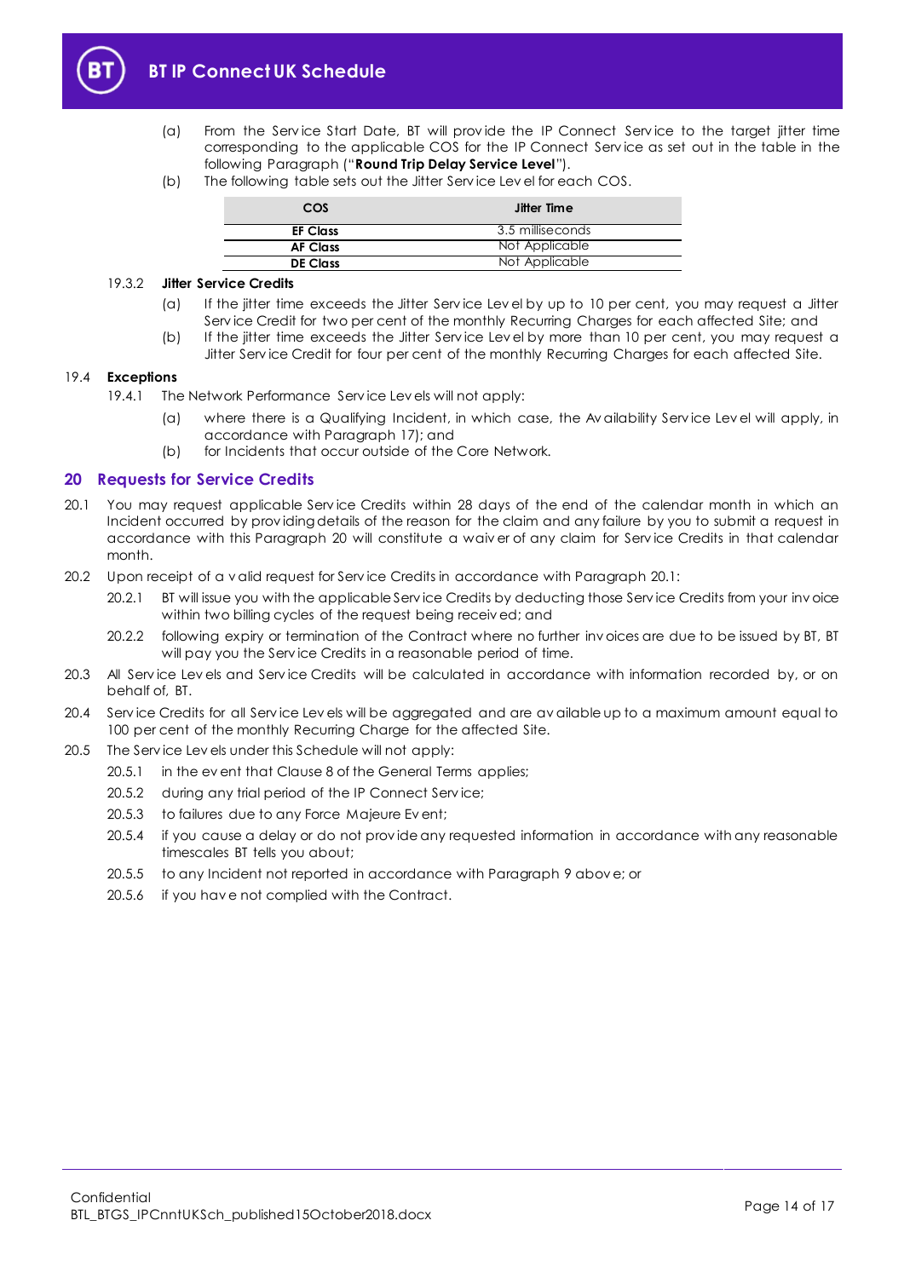

- (a) From the Serv ice Start Date, BT will prov ide the IP Connect Serv ice to the target jitter time corresponding to the applicable COS for the IP Connect Serv ice as set out in the table in the following Paragraph ("**Round Trip Delay Service Level**").
- (b) The following table sets out the Jitter Serv ice Lev el for each COS.

| COS             | Jitter Time      |
|-----------------|------------------|
| <b>EF Class</b> | 3.5 milliseconds |
| <b>AF Class</b> | Not Applicable   |
| <b>DE Class</b> | Not Applicable   |

#### 19.3.2 **Jitter Service Credits**

- (a) If the jitter time exceeds the Jitter Serv ice Lev el by up to 10 per cent, you may request a Jitter Serv ice Credit for two per cent of the monthly Recurring Charges for each affected Site; and
- (b) If the jitter time exceeds the Jitter Serv ice Lev el by more than 10 per cent, you may request a Jitter Serv ice Credit for four per cent of the monthly Recurring Charges for each affected Site.

#### 19.4 **Exceptions**

- 19.4.1 The Network Performance Serv ice Lev els will not apply:
	- (a) where there is a Qualifying Incident, in which case, the Av ailability Serv ice Lev el will apply, in accordance with Paragrap[h 17\)](#page-10-3); and
	- (b) for Incidents that occur outside of the Core Network.

#### <span id="page-13-0"></span>**20 Requests for Service Credits**

- <span id="page-13-1"></span>20.1 You may request applicable Serv ice Credits within 28 days of the end of the calendar month in which an Incident occurred by prov iding details of the reason for the claim and any failure by you to submit a request in accordance with this Paragraph [20](#page-13-0) will constitute a waiv er of any claim for Serv ice Credits in that calendar month.
- 20.2 Upon receipt of a v alid request for Serv ice Credits in accordance with Paragrap[h 20.1:](#page-13-1)
	- 20.2.1 BT will issue you with the applicable Serv ice Credits by deducting those Serv ice Credits from your inv oice within two billing cycles of the request being receiv ed; and
	- 20.2.2 following expiry or termination of the Contract where no further inv oices are due to be issued by BT, BT will pay you the Serv ice Credits in a reasonable period of time.
- 20.3 All Serv ice Lev els and Serv ice Credits will be calculated in accordance with information recorded by, or on behalf of, BT.
- 20.4 Serv ice Credits for all Serv ice Lev els will be aggregated and are av ailable up to a maximum amount equal to 100 per cent of the monthly Recurring Charge for the affected Site.
- 20.5 The Serv ice Lev els under this Schedule will not apply:
	- 20.5.1 in the ev ent that Clause 8 of the General Terms applies;
	- 20.5.2 during any trial period of the IP Connect Serv ice;
	- 20.5.3 to failures due to any Force Majeure Ev ent;
	- 20.5.4 if you cause a delay or do not prov ide any requested information in accordance with any reasonable timescales BT tells you about;
	- 20.5.5 to any Incident not reported in accordance with Paragrap[h 9](#page-7-0) abov e; or
	- 20.5.6 if you hav e not complied with the Contract.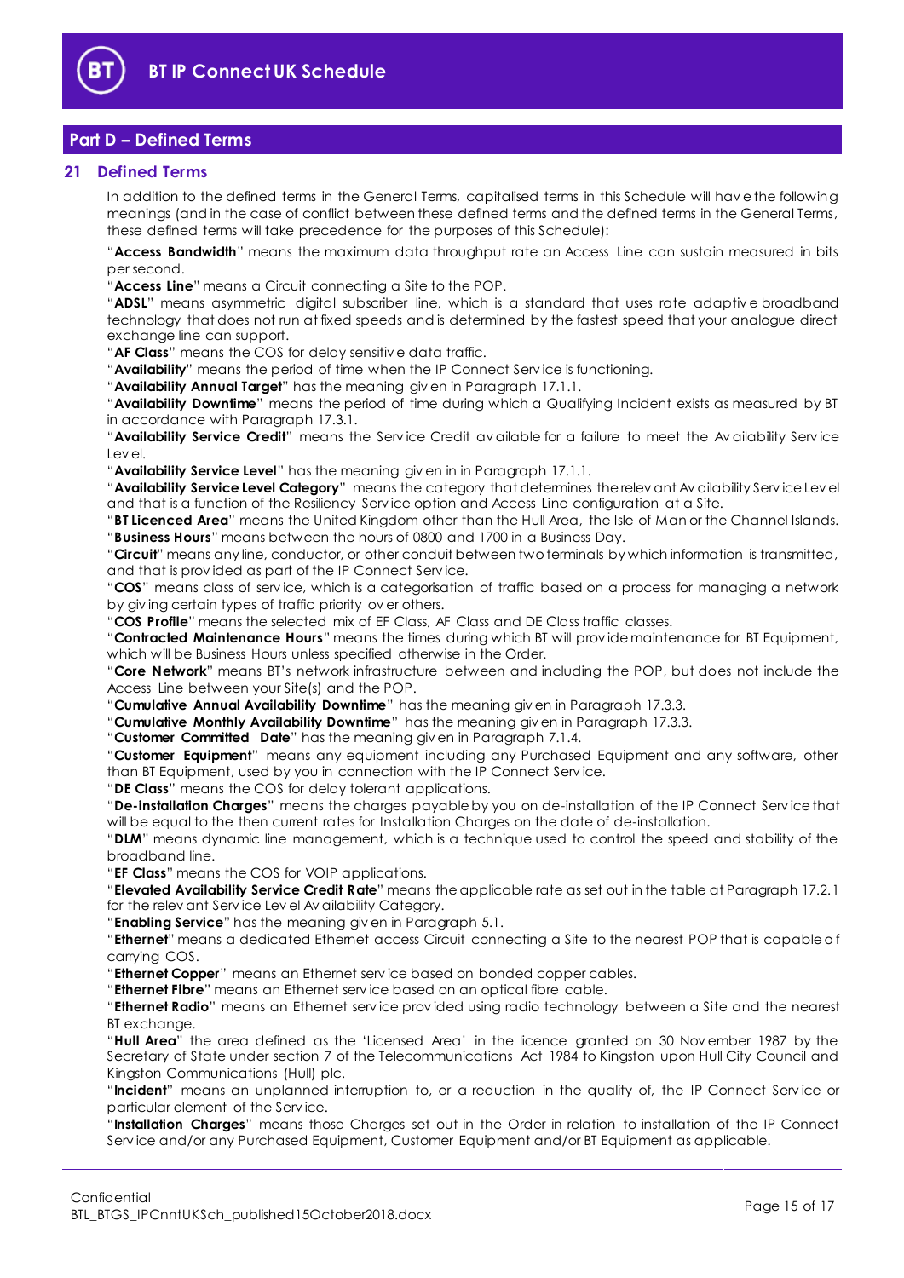

## <span id="page-14-0"></span>**Part D – Defined Terms**

#### <span id="page-14-1"></span>**21 Defined Terms**

In addition to the defined terms in the General Terms, capitalised terms in this Schedule will hav e the following meanings (and in the case of conflict between these defined terms and the defined terms in the General Terms, these defined terms will take precedence for the purposes of this Schedule):

"**Access Bandwidth**" means the maximum data throughput rate an Access Line can sustain measured in bits per second.

"**Access Line**" means a Circuit connecting a Site to the POP.

"**ADSL**" means asymmetric digital subscriber line, which is a standard that uses rate adaptiv e broadband technology that does not run at fixed speeds and is determined by the fastest speed that your analogue direct exchange line can support.

"**AF Class**" means the COS for delay sensitiv e data traffic.

"**Availability**" means the period of time when the IP Connect Serv ice is functioning.

"**Availability Annual Target**" has the meaning giv en in Paragrap[h 17.1.1.](#page-10-7)

"**Availability Downtime**" means the period of time during which a Qualifying Incident exists as measured by BT in accordance with Paragrap[h 17.3.1.](#page-11-1) 

"**Availability Service Credit**" means the Serv ice Credit av ailable for a failure to meet the Av ailability Serv ice Lev el.

"**Availability Service Level**" has the meaning giv en in in Paragraph [17.1.1.](#page-10-7)

"**Availability Service Level Category**" means the category that determines the relev ant Av ailability Serv ice Lev el and that is a function of the Resiliency Serv ice option and Access Line configuration at a Site.

"**BT Licenced Area**" means the United Kingdom other than the Hull Area, the Isle of Man or the Channel Islands. "**Business Hours**" means between the hours of 0800 and 1700 in a Business Day.

"**Circuit**" means any line, conductor, or other conduit between two terminals by which information is transmitted, and that is prov ided as part of the IP Connect Serv ice.

"**COS**" means class of serv ice, which is a categorisation of traffic based on a process for managing a network by giv ing certain types of traffic priority ov er others.

"**COS Profile**" means the selected mix of EF Class, AF Class and DE Class traffic classes.

"**Contracted Maintenance Hours**" means the times during which BT will prov ide maintenance for BT Equipment, which will be Business Hours unless specified otherwise in the Order.

"**Core Network**" means BT's network infrastructure between and including the POP, but does not include the Access Line between your Site(s) and the POP.

"**Cumulative Annual Availability Downtime**" has the meaning giv en in Paragraph [17.3.3.](#page-11-2)

"**Cumulative Monthly Availability Downtime**" has the meaning giv en in Paragrap[h 17.3.3.](#page-11-2)

"**Customer Committed Date**" has the meaning giv en in Paragraph [7.1.4.](#page-5-4)

"**Customer Equipment**" means any equipment including any Purchased Equipment and any software, other than BT Equipment, used by you in connection with the IP Connect Serv ice.

"**DE Class**" means the COS for delay tolerant applications.

"**De-installation Charges**" means the charges payable by you on de-installation of the IP Connect Serv ice that will be equal to the then current rates for Installation Charges on the date of de-installation.

"**DLM**" means dynamic line management, which is a technique used to control the speed and stability of the broadband line.

"**EF Class**" means the COS for VOIP applications.

"**Elevated Availability Service Credit Rate**" means the applicable rate as set out in the table at Paragraph [17.2.1](#page-10-6) for the relev ant Serv ice Lev el Av ailability Category.

"**Enabling Service**" has the meaning giv en in Paragrap[h 5.1.](#page-3-3)

"**Ethernet**" means a dedicated Ethernet access Circuit connecting a Site to the nearest POP that is capable o f carrying COS.

"**Ethernet Copper**" means an Ethernet serv ice based on bonded copper cables.

"**Ethernet Fibre**" means an Ethernet serv ice based on an optical fibre cable.

"**Ethernet Radio**" means an Ethernet serv ice prov ided using radio technology between a Site and the nearest BT exchange.

"**Hull Area**" the area defined as the 'Licensed Area' in the licence granted on 30 Nov ember 1987 by the Secretary of State under section 7 of the Telecommunications Act 1984 to Kingston upon Hull City Council and Kingston Communications (Hull) plc.

"**Incident**" means an unplanned interruption to, or a reduction in the quality of, the IP Connect Serv ice or particular element of the Serv ice.

"**Installation Charges**" means those Charges set out in the Order in relation to installation of the IP Connect Serv ice and/or any Purchased Equipment, Customer Equipment and/or BT Equipment as applicable.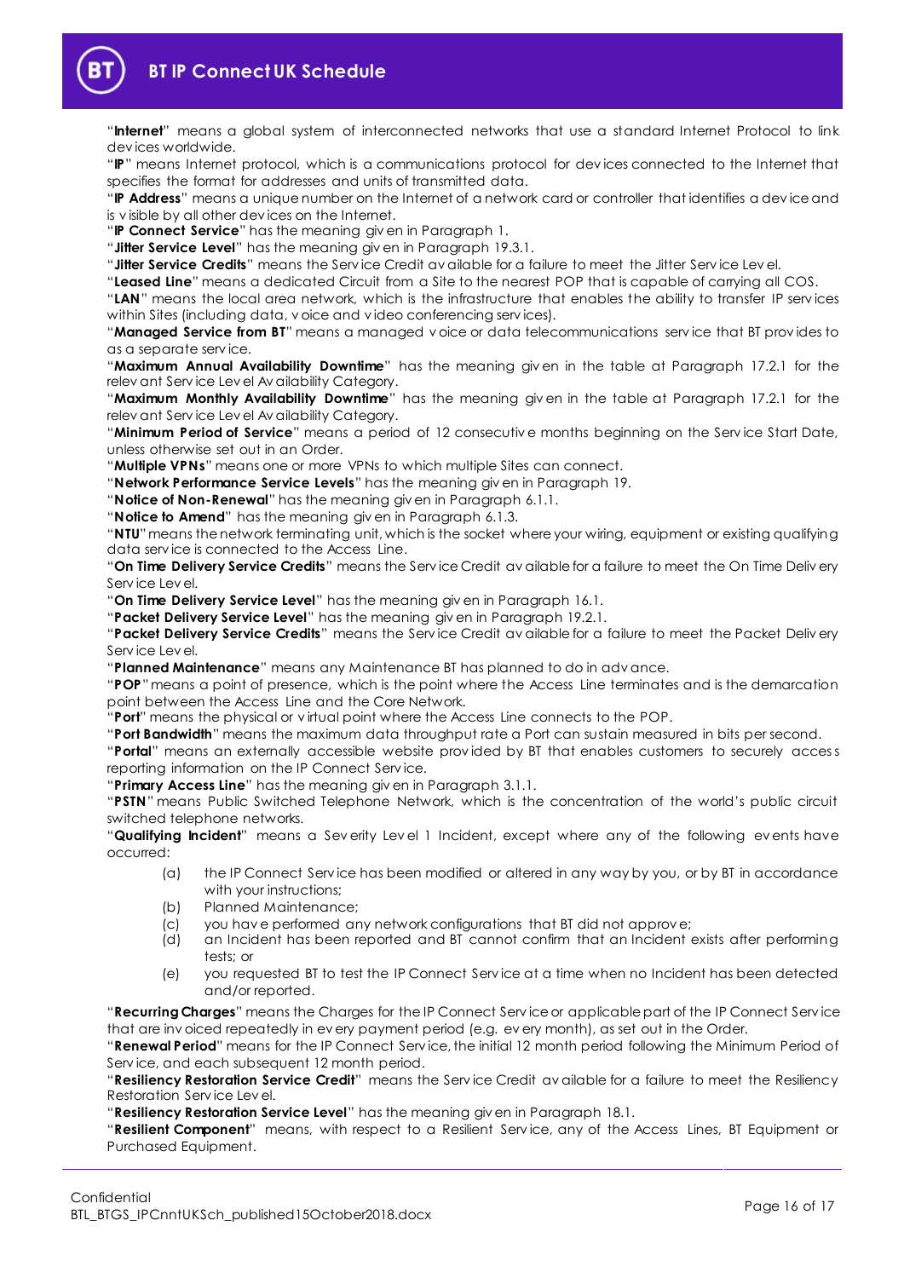

"**Internet**" means a global system of interconnected networks that use a standard Internet Protocol to link dev ices worldwide.

"**IP**" means Internet protocol, which is a communications protocol for dev ices connected to the Internet that specifies the format for addresses and units of transmitted data.

"**IP Address**" means a unique number on the Internet of a network card or controller that identifies a dev ice and is v isible by all other dev ices on the Internet.

"**IP Connect Service**" has the meaning giv en in Paragraph [1.](#page-1-3)

"**Jitter Service Level**" has the meaning giv en in Paragraph [19.3.1.](#page-12-2)

"**Jitter Service Credits**" means the Serv ice Credit av ailable for a failure to meet the Jitter Serv ice Lev el.

"**Leased Line**" means a dedicated Circuit from a Site to the nearest POP that is capable of carrying all COS.

"**LAN**" means the local area network, which is the infrastructure that enables the ability to transfer IP serv ices within Sites (including data, v oice and v ideo conferencing serv ices).

"**Managed Service from BT**" means a managed v oice or data telecommunications serv ice that BT prov ides to as a separate serv ice.

"**Maximum Annual Availability Downtime**" has the meaning giv en in the table at Paragraph [17.2.1](#page-10-6) for the relev ant Serv ice Lev el Av ailability Category.

"**Maximum Monthly Availability Downtime**" has the meaning giv en in the table at Paragraph [17.2.1](#page-10-6) for the relev ant Serv ice Lev el Av ailability Category.

"**Minimum Period of Service**" means a period of 12 consecutiv e months beginning on the Serv ice Start Date, unless otherwise set out in an Order.

"**Multiple VPNs**" means one or more VPNs to which multiple Sites can connect.

"**Network Performance Service Levels**" has the meaning giv en in Paragraph [19.](#page-12-1)

"**Notice of Non-Renewal**" has the meaning giv en in Paragrap[h 6.1.1.](#page-4-2)

"**Notice to Amend**" has the meaning giv en in Paragraph [6.1.3.](#page-4-3)

"**NTU**"means the network terminating unit, which is the socket where your wiring, equipment or existing qualifying data serv ice is connected to the Access Line.

"**On Time Delivery Service Credits**" means the Serv ice Credit av ailable for a failure to meet the On Time Deliv ery Serv ice Lev el.

"**On Time Delivery Service Level**" has the meaning giv en in Paragrap[h 16.1.](#page-10-8)

"**Packet Delivery Service Level**" has the meaning giv en in Paragrap[h 19.2.1.](#page-12-3)

"**Packet Delivery Service Credits**" means the Serv ice Credit av ailable for a failure to meet the Packet Deliv ery Serv ice Lev el.

"**Planned Maintenance**" means any Maintenance BT has planned to do in adv ance.

"**POP**"means a point of presence, which is the point where the Access Line terminates and is the demarcation point between the Access Line and the Core Network.

"**Port**" means the physical or v irtual point where the Access Line connects to the POP.

"**Port Bandwidth**" means the maximum data throughput rate a Port can sustain measured in bits per second.

"**Portal**" means an externally accessible website prov ided by BT that enables customers to securely access reporting information on the IP Connect Serv ice.

"**Primary Access Line**" has the meaning giv en in Paragraph [3.1.1.](#page-2-2)

"**PSTN**" means Public Switched Telephone Network, which is the concentration of the world's public circuit switched telephone networks.

"**Qualifying Incident**" means a Sev erity Lev el 1 Incident, except where any of the following ev ents have occurred:

- (a) the IP Connect Serv ice has been modified or altered in any way by you, or by BT in accordance with your instructions;
- (b) Planned Maintenance;
- (c) you hav e performed any network configurations that BT did not approv e;
- (d) an Incident has been reported and BT cannot confirm that an Incident exists after performing tests; or
- (e) you requested BT to test the IP Connect Serv ice at a time when no Incident has been detected and/or reported.

"**Recurring Charges**" means the Charges for the IP Connect Serv ice or applicable part of the IP Connect Serv ice that are inv oiced repeatedly in ev ery payment period (e.g. ev ery month), as set out in the Order.

"**Renewal Period**" means for the IP Connect Serv ice, the initial 12 month period following the Minimum Period of Serv ice, and each subsequent 12 month period.

"**Resiliency Restoration Service Credit**" means the Serv ice Credit av ailable for a failure to meet the Resiliency Restoration Serv ice Lev el.

"**Resiliency Restoration Service Level**" has the meaning giv en in Paragraph [18.1.](#page-12-4)

"**Resilient Component**" means, with respect to a Resilient Serv ice, any of the Access Lines, BT Equipment or Purchased Equipment.